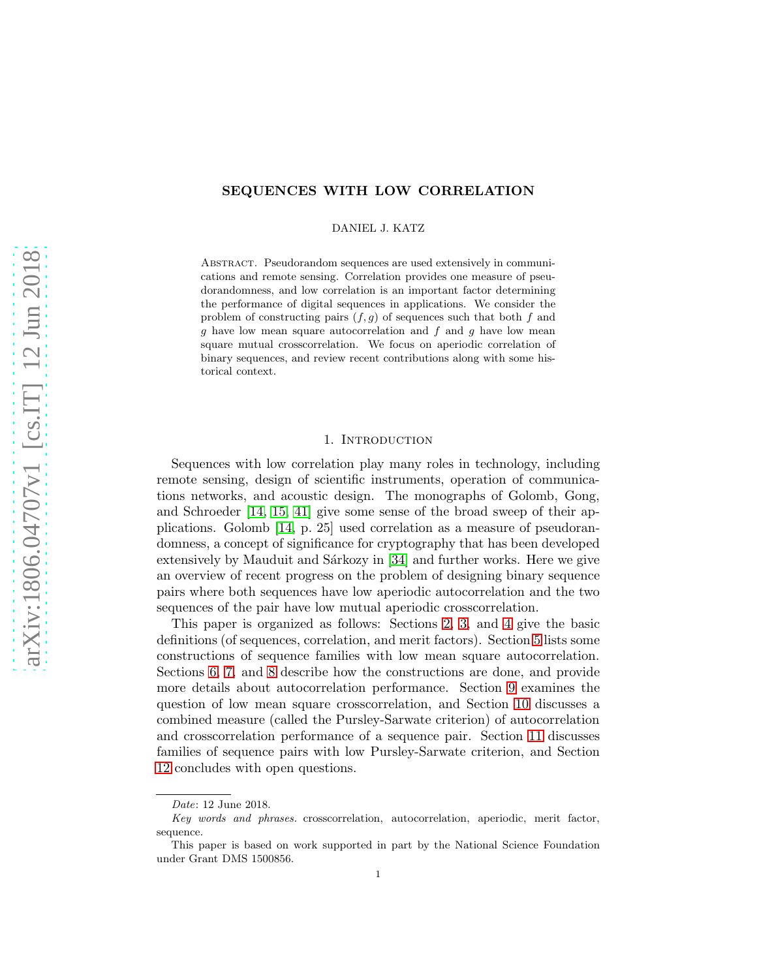# SEQUENCES WITH LOW CORRELATION

DANIEL J. KATZ

Abstract. Pseudorandom sequences are used extensively in communications and remote sensing. Correlation provides one measure of pseudorandomness, and low correlation is an important factor determining the performance of digital sequences in applications. We consider the problem of constructing pairs  $(f, g)$  of sequences such that both f and  $g$  have low mean square autocorrelation and  $f$  and  $g$  have low mean square mutual crosscorrelation. We focus on aperiodic correlation of binary sequences, and review recent contributions along with some historical context.

### 1. INTRODUCTION

Sequences with low correlation play many roles in technology, including remote sensing, design of scientific instruments, operation of communications networks, and acoustic design. The monographs of Golomb, Gong, and Schroeder [\[14,](#page-22-0) [15,](#page-22-1) [41\]](#page-23-0) give some sense of the broad sweep of their applications. Golomb [\[14,](#page-22-0) p. 25] used correlation as a measure of pseudorandomness, a concept of significance for cryptography that has been developed extensively by Mauduit and Sárkozy in  $[34]$  and further works. Here we give an overview of recent progress on the problem of designing binary sequence pairs where both sequences have low aperiodic autocorrelation and the two sequences of the pair have low mutual aperiodic crosscorrelation.

This paper is organized as follows: Sections [2,](#page-1-0) [3,](#page-1-1) and [4](#page-4-0) give the basic definitions (of sequences, correlation, and merit factors). Section [5](#page-7-0) lists some constructions of sequence families with low mean square autocorrelation. Sections [6,](#page-8-0) [7,](#page-10-0) and [8](#page-15-0) describe how the constructions are done, and provide more details about autocorrelation performance. Section [9](#page-17-0) examines the question of low mean square crosscorrelation, and Section [10](#page-17-1) discusses a combined measure (called the Pursley-Sarwate criterion) of autocorrelation and crosscorrelation performance of a sequence pair. Section [11](#page-18-0) discusses families of sequence pairs with low Pursley-Sarwate criterion, and Section [12](#page-20-0) concludes with open questions.

*Date*: 12 June 2018.

*Key words and phrases.* crosscorrelation, autocorrelation, aperiodic, merit factor, sequence.

This paper is based on work supported in part by the National Science Foundation under Grant DMS 1500856.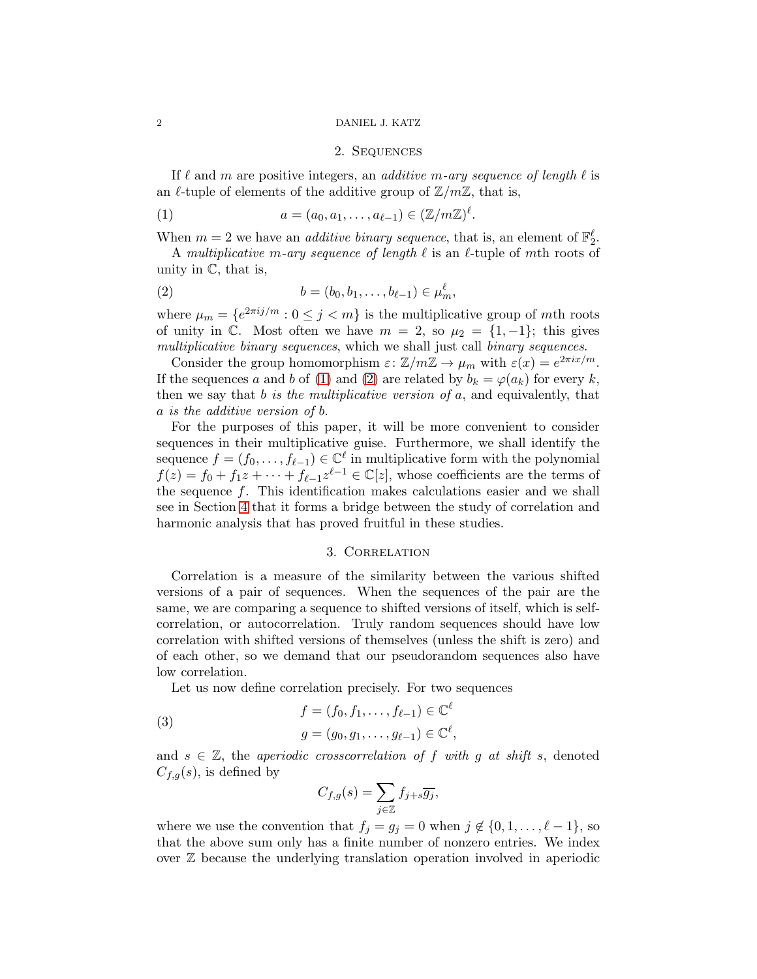#### <span id="page-1-0"></span>2 DANIEL J. KATZ

### <span id="page-1-3"></span><span id="page-1-2"></span>2. Sequences

If  $\ell$  and m are positive integers, an *additive m-ary sequence of length*  $\ell$  is an  $\ell$ -tuple of elements of the additive group of  $\mathbb{Z}/m\mathbb{Z}$ , that is,

(1) 
$$
a = (a_0, a_1, \dots, a_{\ell-1}) \in (\mathbb{Z}/m\mathbb{Z})^{\ell}.
$$

When  $m = 2$  we have an *additive binary sequence*, that is, an element of  $\mathbb{F}_2^{\ell}$ .

A multiplicative m-ary sequence of length  $\ell$  is an  $\ell$ -tuple of mth roots of unity in  $\mathbb{C}$ , that is,

(2) 
$$
b = (b_0, b_1, \dots, b_{\ell-1}) \in \mu_m^{\ell},
$$

where  $\mu_m = \{e^{2\pi i j/m} : 0 \le j < m\}$  is the multiplicative group of mth roots of unity in  $\mathbb{C}$ . Most often we have  $m = 2$ , so  $\mu_2 = \{1, -1\}$ ; this gives multiplicative binary sequences, which we shall just call binary sequences.

Consider the group homomorphism  $\varepsilon$ :  $\mathbb{Z}/m\mathbb{Z} \to \mu_m$  with  $\varepsilon(x) = e^{2\pi ix/m}$ . If the sequences a and b of [\(1\)](#page-1-2) and [\(2\)](#page-1-3) are related by  $b_k = \varphi(a_k)$  for every k, then we say that  $b$  is the multiplicative version of  $a$ , and equivalently, that a is the additive version of b.

For the purposes of this paper, it will be more convenient to consider sequences in their multiplicative guise. Furthermore, we shall identify the sequence  $f = (f_0, \ldots, f_{\ell-1}) \in \mathbb{C}^{\ell}$  in multiplicative form with the polynomial  $f(z) = f_0 + f_1 z + \cdots + f_{\ell-1} z^{\ell-1} \in \mathbb{C}[z]$ , whose coefficients are the terms of the sequence  $f$ . This identification makes calculations easier and we shall see in Section [4](#page-4-0) that it forms a bridge between the study of correlation and harmonic analysis that has proved fruitful in these studies.

## 3. Correlation

<span id="page-1-1"></span>Correlation is a measure of the similarity between the various shifted versions of a pair of sequences. When the sequences of the pair are the same, we are comparing a sequence to shifted versions of itself, which is selfcorrelation, or autocorrelation. Truly random sequences should have low correlation with shifted versions of themselves (unless the shift is zero) and of each other, so we demand that our pseudorandom sequences also have low correlation.

Let us now define correlation precisely. For two sequences

<span id="page-1-4"></span>(3) 
$$
f = (f_0, f_1, ..., f_{\ell-1}) \in \mathbb{C}^{\ell}
$$
  
\n $g = (g_0, g_1, ..., g_{\ell-1}) \in \mathbb{C}^{\ell},$ 

and  $s \in \mathbb{Z}$ , the aperiodic crosscorrelation of f with q at shift s, denoted  $C_{f,q}(s)$ , is defined by

$$
C_{f,g}(s) = \sum_{j \in \mathbb{Z}} f_{j+s} \overline{g_j},
$$

where we use the convention that  $f_j = g_j = 0$  when  $j \notin \{0, 1, \ldots, \ell - 1\}$ , so that the above sum only has a finite number of nonzero entries. We index over  $\mathbb Z$  because the underlying translation operation involved in aperiodic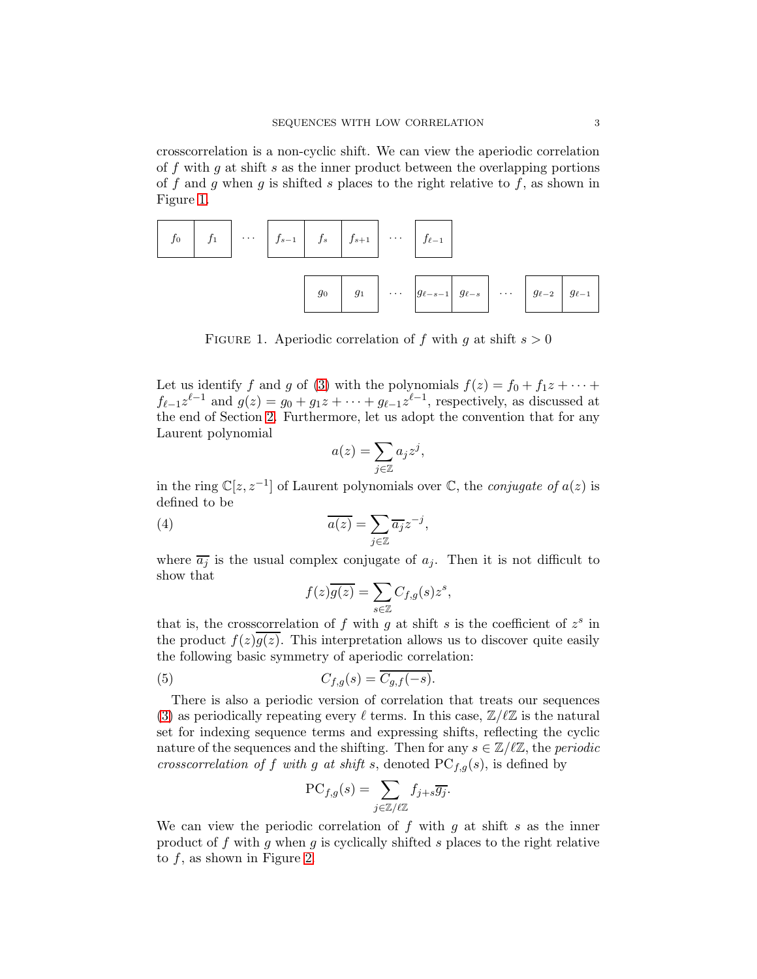crosscorrelation is a non-cyclic shift. We can view the aperiodic correlation of f with g at shift s as the inner product between the overlapping portions of f and g when g is shifted s places to the right relative to f, as shown in Figure [1.](#page-2-0)



<span id="page-2-0"></span>FIGURE 1. Aperiodic correlation of f with g at shift  $s > 0$ 

Let us identify f and g of [\(3\)](#page-1-4) with the polynomials  $f(z) = f_0 + f_1 z + \cdots$  $f_{\ell-1}z^{\ell-1}$  and  $g(z) = g_0 + g_1z + \cdots + g_{\ell-1}z^{\ell-1}$ , respectively, as discussed at the end of Section [2.](#page-1-0) Furthermore, let us adopt the convention that for any Laurent polynomial

$$
a(z) = \sum_{j \in \mathbb{Z}} a_j z^j,
$$

in the ring  $\mathbb{C}[z, z^{-1}]$  of Laurent polynomials over  $\mathbb{C}$ , the *conjugate of*  $a(z)$  is defined to be

(4) 
$$
\overline{a(z)} = \sum_{j \in \mathbb{Z}} \overline{a_j} z^{-j},
$$

where  $\overline{a_j}$  is the usual complex conjugate of  $a_j$ . Then it is not difficult to show that

<span id="page-2-2"></span><span id="page-2-1"></span>
$$
f(z)\overline{g(z)} = \sum_{s \in \mathbb{Z}} C_{f,g}(s) z^s,
$$

that is, the crosscorrelation of  $f$  with  $g$  at shift  $s$  is the coefficient of  $z^s$  in the product  $f(z)\overline{q(z)}$ . This interpretation allows us to discover quite easily the following basic symmetry of aperiodic correlation:

(5) 
$$
C_{f,g}(s) = \overline{C_{g,f}(-s)}.
$$

There is also a periodic version of correlation that treats our sequences [\(3\)](#page-1-4) as periodically repeating every  $\ell$  terms. In this case,  $\mathbb{Z}/\ell\mathbb{Z}$  is the natural set for indexing sequence terms and expressing shifts, reflecting the cyclic nature of the sequences and the shifting. Then for any  $s \in \mathbb{Z}/\ell\mathbb{Z}$ , the periodic crosscorrelation of f with g at shift s, denoted  $PC_{f,q}(s)$ , is defined by

$$
\mathrm{PC}_{f,g}(s) = \sum_{j \in \mathbb{Z}/\ell \mathbb{Z}} f_{j+s} \overline{g_j}.
$$

We can view the periodic correlation of  $f$  with  $g$  at shift  $s$  as the inner product of  $f$  with  $g$  when  $g$  is cyclically shifted  $s$  places to the right relative to  $f$ , as shown in Figure [2.](#page-3-0)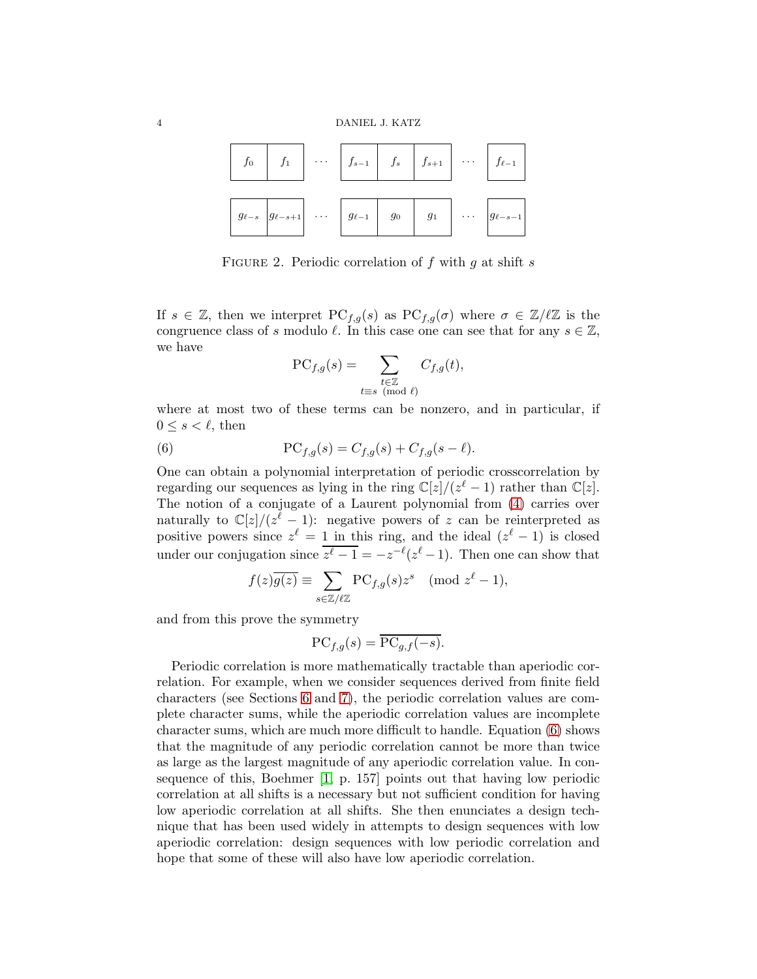

<span id="page-3-0"></span>FIGURE 2. Periodic correlation of f with g at shift s

If  $s \in \mathbb{Z}$ , then we interpret  $PC_{f,g}(s)$  as  $PC_{f,g}(\sigma)$  where  $\sigma \in \mathbb{Z}/\ell\mathbb{Z}$  is the congruence class of s modulo  $\ell$ . In this case one can see that for any  $s \in \mathbb{Z}$ , we have

<span id="page-3-1"></span>
$$
\text{PC}_{f,g}(s) = \sum_{\substack{t \in \mathbb{Z} \\ t \equiv s \pmod{\ell}}} C_{f,g}(t),
$$

where at most two of these terms can be nonzero, and in particular, if  $0 \leq s < \ell$ , then

(6) 
$$
PC_{f,g}(s) = C_{f,g}(s) + C_{f,g}(s - \ell).
$$

One can obtain a polynomial interpretation of periodic crosscorrelation by regarding our sequences as lying in the ring  $\mathbb{C}[z]/(z^{\ell}-1)$  rather than  $\mathbb{C}[z]$ . The notion of a conjugate of a Laurent polynomial from [\(4\)](#page-2-1) carries over naturally to  $\mathbb{C}[z]/(z^{\ell}-1)$ : negative powers of z can be reinterpreted as positive powers since  $z^{\ell} = 1$  in this ring, and the ideal  $(z^{\ell} - 1)$  is closed under our conjugation since  $\overline{z^{\ell} - 1} = -z^{-\ell}(z^{\ell} - 1)$ . Then one can show that

$$
f(z)\overline{g(z)} \equiv \sum_{s \in \mathbb{Z}/\ell\mathbb{Z}} PC_{f,g}(s)z^s \pmod{z^{\ell}-1},
$$

and from this prove the symmetry

$$
\mathrm{PC}_{f,g}(s) = \overline{\mathrm{PC}_{g,f}(-s)}.
$$

Periodic correlation is more mathematically tractable than aperiodic correlation. For example, when we consider sequences derived from finite field characters (see Sections [6](#page-8-0) and [7\)](#page-10-0), the periodic correlation values are complete character sums, while the aperiodic correlation values are incomplete character sums, which are much more difficult to handle. Equation [\(6\)](#page-3-1) shows that the magnitude of any periodic correlation cannot be more than twice as large as the largest magnitude of any aperiodic correlation value. In consequence of this, Boehmer [\[1,](#page-21-0) p. 157] points out that having low periodic correlation at all shifts is a necessary but not sufficient condition for having low aperiodic correlation at all shifts. She then enunciates a design technique that has been used widely in attempts to design sequences with low aperiodic correlation: design sequences with low periodic correlation and hope that some of these will also have low aperiodic correlation.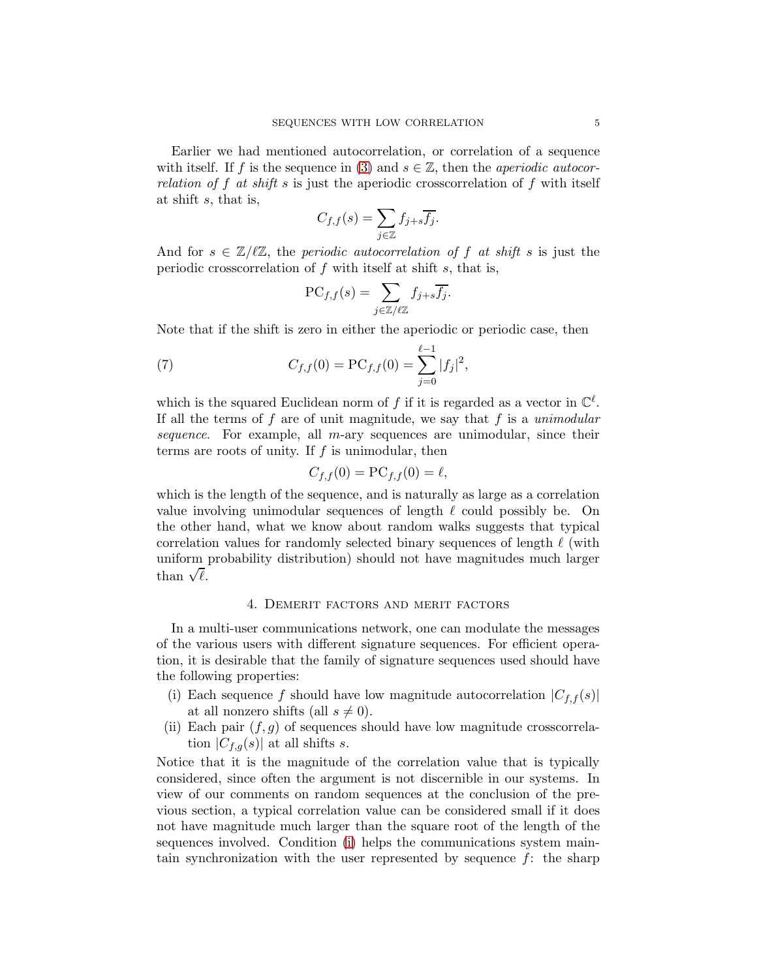Earlier we had mentioned autocorrelation, or correlation of a sequence with itself. If f is the sequence in [\(3\)](#page-1-4) and  $s \in \mathbb{Z}$ , then the *aperiodic autocor*relation of f at shift s is just the aperiodic crosscorrelation of f with itself at shift s, that is,

$$
C_{f,f}(s) = \sum_{j \in \mathbb{Z}} f_{j+s} \overline{f_j}.
$$

And for  $s \in \mathbb{Z}/\ell \mathbb{Z}$ , the periodic autocorrelation of f at shift s is just the periodic crosscorrelation of  $f$  with itself at shift  $s$ , that is,

<span id="page-4-3"></span>
$$
\mathrm{PC}_{f,f}(s) = \sum_{j \in \mathbb{Z}/\ell \mathbb{Z}} f_{j+s} \overline{f_j}.
$$

Note that if the shift is zero in either the aperiodic or periodic case, then

(7) 
$$
C_{f,f}(0) = \text{PC}_{f,f}(0) = \sum_{j=0}^{\ell-1} |f_j|^2,
$$

which is the squared Euclidean norm of f if it is regarded as a vector in  $\mathbb{C}^{\ell}$ . If all the terms of f are of unit magnitude, we say that f is a unimodular sequence. For example, all  $m$ -ary sequences are unimodular, since their terms are roots of unity. If  $f$  is unimodular, then

$$
C_{f,f}(0) = \mathbf{PC}_{f,f}(0) = \ell,
$$

which is the length of the sequence, and is naturally as large as a correlation value involving unimodular sequences of length  $\ell$  could possibly be. On the other hand, what we know about random walks suggests that typical correlation values for randomly selected binary sequences of length  $\ell$  (with uniform probability distribution) should not have magnitudes much larger than  $\sqrt{\ell}$ .

## 4. Demerit factors and merit factors

<span id="page-4-0"></span>In a multi-user communications network, one can modulate the messages of the various users with different signature sequences. For efficient operation, it is desirable that the family of signature sequences used should have the following properties:

- <span id="page-4-1"></span>(i) Each sequence f should have low magnitude autocorrelation  $|C_{f,f}(s)|$ at all nonzero shifts (all  $s \neq 0$ ).
- <span id="page-4-2"></span>(ii) Each pair  $(f, g)$  of sequences should have low magnitude crosscorrelation  $|C_{f,q}(s)|$  at all shifts s.

Notice that it is the magnitude of the correlation value that is typically considered, since often the argument is not discernible in our systems. In view of our comments on random sequences at the conclusion of the previous section, a typical correlation value can be considered small if it does not have magnitude much larger than the square root of the length of the sequences involved. Condition [\(i\)](#page-4-1) helps the communications system maintain synchronization with the user represented by sequence  $f$ : the sharp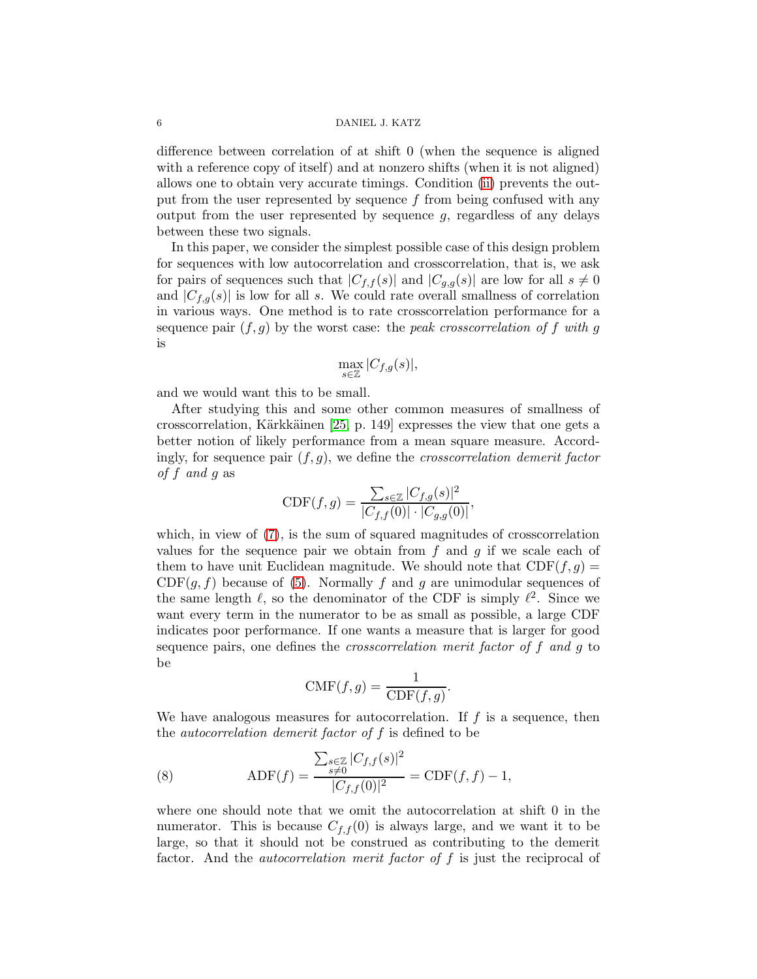### 6 DANIEL J. KATZ

difference between correlation of at shift 0 (when the sequence is aligned with a reference copy of itself) and at nonzero shifts (when it is not aligned) allows one to obtain very accurate timings. Condition [\(ii\)](#page-4-2) prevents the output from the user represented by sequence  $f$  from being confused with any output from the user represented by sequence  $g$ , regardless of any delays between these two signals.

In this paper, we consider the simplest possible case of this design problem for sequences with low autocorrelation and crosscorrelation, that is, we ask for pairs of sequences such that  $|C_{f,f}(s)|$  and  $|C_{g,g}(s)|$  are low for all  $s \neq 0$ and  $|C_{f,q}(s)|$  is low for all s. We could rate overall smallness of correlation in various ways. One method is to rate crosscorrelation performance for a sequence pair  $(f, g)$  by the worst case: the *peak crosscorrelation of* f with g is

$$
\max_{s\in\mathbb{Z}}|C_{f,g}(s)|,
$$

and we would want this to be small.

After studying this and some other common measures of smallness of crosscorrelation, Kärkkäinen  $[25, p. 149]$  expresses the view that one gets a better notion of likely performance from a mean square measure. Accordingly, for sequence pair  $(f, g)$ , we define the *crosscorrelation demerit factor* of f and g as

CDF
$$
(f, g)
$$
 = 
$$
\frac{\sum_{s \in \mathbb{Z}} |C_{f,g}(s)|^2}{|C_{f,f}(0)| \cdot |C_{g,g}(0)|},
$$

which, in view of  $(7)$ , is the sum of squared magnitudes of crosscorrelation values for the sequence pair we obtain from  $f$  and  $g$  if we scale each of them to have unit Euclidean magnitude. We should note that  $CDF(f, g) =$  $CDF(g, f)$  because of [\(5\)](#page-2-2). Normally f and g are unimodular sequences of the same length  $\ell$ , so the denominator of the CDF is simply  $\ell^2$ . Since we want every term in the numerator to be as small as possible, a large CDF indicates poor performance. If one wants a measure that is larger for good sequence pairs, one defines the *crosscorrelation merit factor of f and g* to be

$$
\text{CMF}(f,g) = \frac{1}{\text{CDF}(f,g)}.
$$

We have analogous measures for autocorrelation. If  $f$  is a sequence, then the *autocorrelation demerit factor of*  $f$  is defined to be

<span id="page-5-0"></span>(8) 
$$
\text{ADF}(f) = \frac{\sum_{s \in \mathbb{Z}} |C_{f,f}(s)|^2}{|C_{f,f}(0)|^2} = \text{CDF}(f,f) - 1,
$$

where one should note that we omit the autocorrelation at shift 0 in the numerator. This is because  $C_{f,f}(0)$  is always large, and we want it to be large, so that it should not be construed as contributing to the demerit factor. And the *autocorrelation merit factor of f* is just the reciprocal of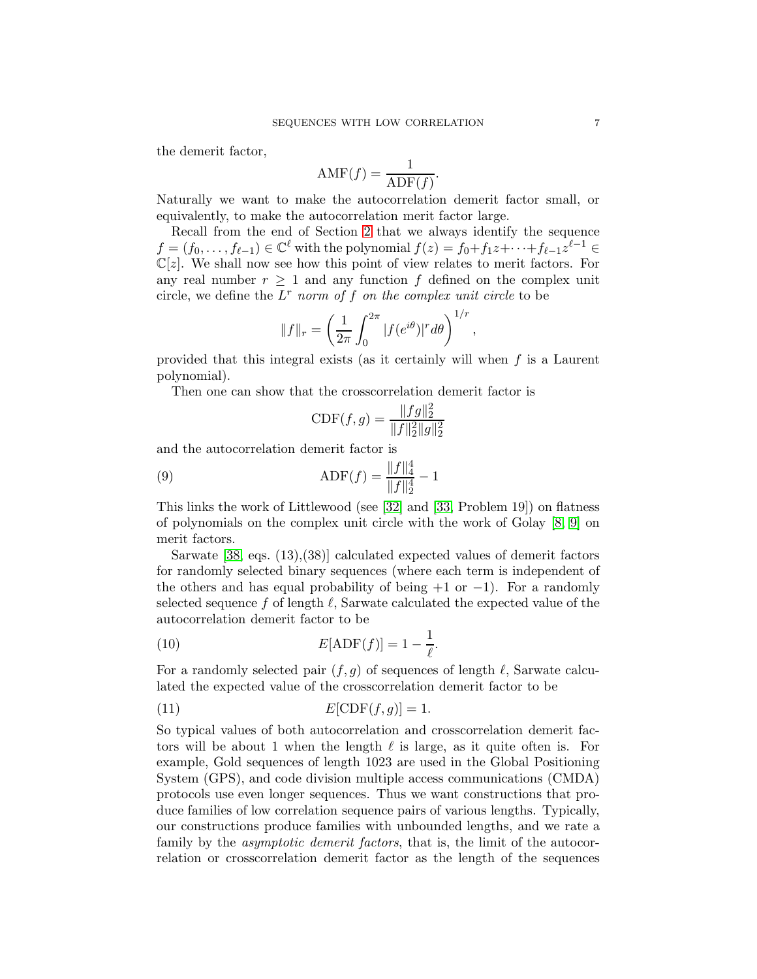the demerit factor,

$$
\text{AMF}(f) = \frac{1}{\text{ADF}(f)}.
$$

Naturally we want to make the autocorrelation demerit factor small, or equivalently, to make the autocorrelation merit factor large.

Recall from the end of Section [2](#page-1-0) that we always identify the sequence  $f = (f_0, \ldots, f_{\ell-1}) \in \mathbb{C}^{\ell}$  with the polynomial  $f(z) = f_0 + f_1 z + \cdots + f_{\ell-1} z^{\ell-1} \in$  $\mathbb{C}[z]$ . We shall now see how this point of view relates to merit factors. For any real number  $r \geq 1$  and any function f defined on the complex unit circle, we define the  $L^r$  norm of f on the complex unit circle to be

$$
||f||_r = \left(\frac{1}{2\pi} \int_0^{2\pi} |f(e^{i\theta})|^r d\theta\right)^{1/r},
$$

provided that this integral exists (as it certainly will when  $f$  is a Laurent polynomial).

Then one can show that the crosscorrelation demerit factor is

<span id="page-6-1"></span>
$$
\text{CDF}(f,g) = \frac{\|fg\|_2^2}{\|f\|_2^2 \|g\|_2^2}
$$

and the autocorrelation demerit factor is

(9) 
$$
\text{ADF}(f) = \frac{\|f\|_4^4}{\|f\|_2^4} - 1
$$

This links the work of Littlewood (see [\[32\]](#page-23-2) and [\[33,](#page-23-3) Problem 19]) on flatness of polynomials on the complex unit circle with the work of Golay [\[8,](#page-22-3) [9\]](#page-22-4) on merit factors.

Sarwate [\[38,](#page-23-4) eqs. (13),(38)] calculated expected values of demerit factors for randomly selected binary sequences (where each term is independent of the others and has equal probability of being  $+1$  or  $-1$ ). For a randomly selected sequence f of length  $\ell$ , Sarwate calculated the expected value of the autocorrelation demerit factor to be

<span id="page-6-0"></span>(10) 
$$
E[\text{ADF}(f)] = 1 - \frac{1}{\ell}.
$$

For a randomly selected pair  $(f, g)$  of sequences of length  $\ell$ , Sarwate calculated the expected value of the crosscorrelation demerit factor to be

<span id="page-6-2"></span>
$$
E[\text{CDF}(f,g)] = 1.
$$

So typical values of both autocorrelation and crosscorrelation demerit factors will be about 1 when the length  $\ell$  is large, as it quite often is. For example, Gold sequences of length 1023 are used in the Global Positioning System (GPS), and code division multiple access communications (CMDA) protocols use even longer sequences. Thus we want constructions that produce families of low correlation sequence pairs of various lengths. Typically, our constructions produce families with unbounded lengths, and we rate a family by the *asymptotic demerit factors*, that is, the limit of the autocorrelation or crosscorrelation demerit factor as the length of the sequences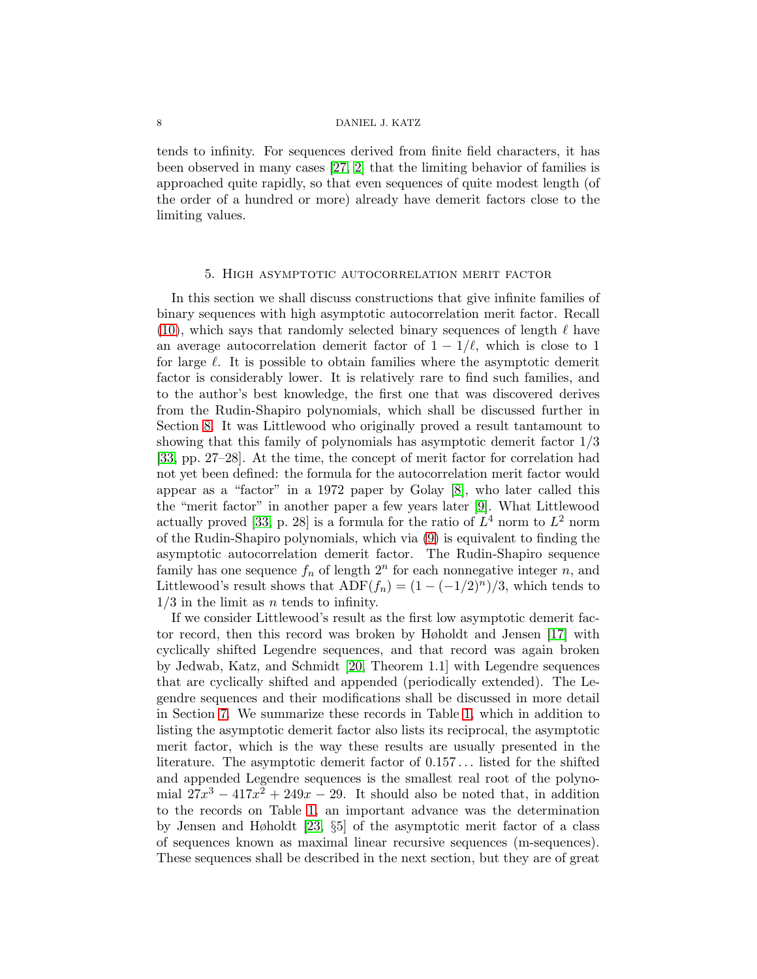tends to infinity. For sequences derived from finite field characters, it has been observed in many cases [\[27,](#page-22-5) [2\]](#page-21-1) that the limiting behavior of families is approached quite rapidly, so that even sequences of quite modest length (of the order of a hundred or more) already have demerit factors close to the limiting values.

### 5. High asymptotic autocorrelation merit factor

<span id="page-7-0"></span>In this section we shall discuss constructions that give infinite families of binary sequences with high asymptotic autocorrelation merit factor. Recall [\(10\)](#page-6-0), which says that randomly selected binary sequences of length  $\ell$  have an average autocorrelation demerit factor of  $1 - 1/\ell$ , which is close to 1 for large  $\ell$ . It is possible to obtain families where the asymptotic demerit factor is considerably lower. It is relatively rare to find such families, and to the author's best knowledge, the first one that was discovered derives from the Rudin-Shapiro polynomials, which shall be discussed further in Section [8.](#page-15-0) It was Littlewood who originally proved a result tantamount to showing that this family of polynomials has asymptotic demerit factor 1/3 [\[33,](#page-23-3) pp. 27–28]. At the time, the concept of merit factor for correlation had not yet been defined: the formula for the autocorrelation merit factor would appear as a "factor" in a 1972 paper by Golay [\[8\]](#page-22-3), who later called this the "merit factor" in another paper a few years later [\[9\]](#page-22-4). What Littlewood actually proved [\[33,](#page-23-3) p. 28] is a formula for the ratio of  $L^4$  norm to  $L^2$  norm of the Rudin-Shapiro polynomials, which via [\(9\)](#page-6-1) is equivalent to finding the asymptotic autocorrelation demerit factor. The Rudin-Shapiro sequence family has one sequence  $f_n$  of length  $2^n$  for each nonnegative integer n, and Littlewood's result shows that  $ADF(f_n) = (1 - (-1/2)^n)/3$ , which tends to  $1/3$  in the limit as *n* tends to infinity.

If we consider Littlewood's result as the first low asymptotic demerit factor record, then this record was broken by Høholdt and Jensen [\[17\]](#page-22-6) with cyclically shifted Legendre sequences, and that record was again broken by Jedwab, Katz, and Schmidt [\[20,](#page-22-7) Theorem 1.1] with Legendre sequences that are cyclically shifted and appended (periodically extended). The Legendre sequences and their modifications shall be discussed in more detail in Section [7.](#page-10-0) We summarize these records in Table [1,](#page-8-1) which in addition to listing the asymptotic demerit factor also lists its reciprocal, the asymptotic merit factor, which is the way these results are usually presented in the literature. The asymptotic demerit factor of 0.157 . . . listed for the shifted and appended Legendre sequences is the smallest real root of the polynomial  $27x^3 - 417x^2 + 249x - 29$ . It should also be noted that, in addition to the records on Table [1,](#page-8-1) an important advance was the determination by Jensen and Høholdt [\[23,](#page-22-8) §5] of the asymptotic merit factor of a class of sequences known as maximal linear recursive sequences (m-sequences). These sequences shall be described in the next section, but they are of great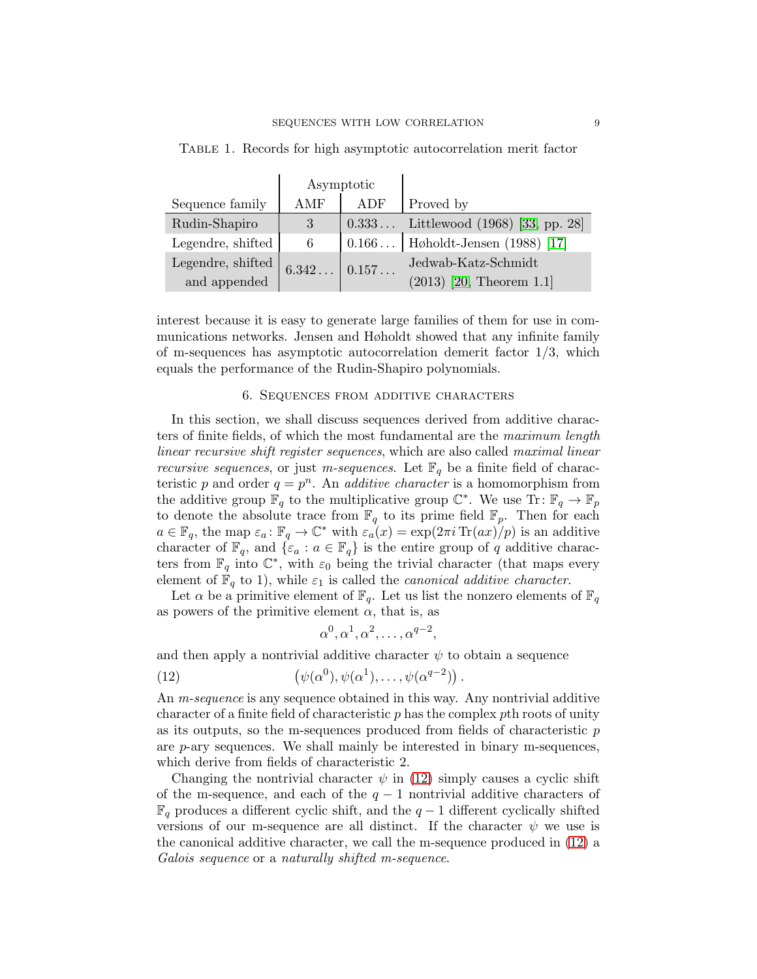|                   | Asymptotic   |              |                                        |
|-------------------|--------------|--------------|----------------------------------------|
| Sequence family   | AMF          | ADF          | Proved by                              |
| Rudin-Shapiro     | 3            |              | $0.333$ Littlewood (1968) [33, pp. 28] |
| Legendre, shifted | 6            | $0.166\dots$ | Høholdt-Jensen (1988) [17]             |
| Legendre, shifted | $6.342\dots$ | 0.157        | Jedwab-Katz-Schmidt                    |
| and appended      |              |              | $(2013)$ [20, Theorem 1.1]             |

<span id="page-8-1"></span>Table 1. Records for high asymptotic autocorrelation merit factor

interest because it is easy to generate large families of them for use in communications networks. Jensen and Høholdt showed that any infinite family of m-sequences has asymptotic autocorrelation demerit factor 1/3, which equals the performance of the Rudin-Shapiro polynomials.

### 6. Sequences from additive characters

<span id="page-8-0"></span>In this section, we shall discuss sequences derived from additive characters of finite fields, of which the most fundamental are the maximum length linear recursive shift register sequences, which are also called maximal linear *recursive sequences*, or just *m-sequences*. Let  $\mathbb{F}_q$  be a finite field of characteristic p and order  $q = p^n$ . An *additive character* is a homomorphism from the additive group  $\mathbb{F}_q$  to the multiplicative group  $\mathbb{C}^*$ . We use  $\text{Tr}: \mathbb{F}_q \to \mathbb{F}_p$ to denote the absolute trace from  $\mathbb{F}_q$  to its prime field  $\mathbb{F}_p$ . Then for each  $a \in \mathbb{F}_q$ , the map  $\varepsilon_a : \mathbb{F}_q \to \mathbb{C}^*$  with  $\varepsilon_a(x) = \exp(2\pi i \operatorname{Tr}(ax)/p)$  is an additive character of  $\mathbb{F}_q$ , and  $\{\varepsilon_a : a \in \mathbb{F}_q\}$  is the entire group of q additive characters from  $\mathbb{F}_q$  into  $\mathbb{C}^*$ , with  $\varepsilon_0$  being the trivial character (that maps every element of  $\mathbb{F}_q$  to 1), while  $\varepsilon_1$  is called the *canonical additive character*.

Let  $\alpha$  be a primitive element of  $\mathbb{F}_q$ . Let us list the nonzero elements of  $\mathbb{F}_q$ as powers of the primitive element  $\alpha$ , that is, as

<span id="page-8-2"></span>
$$
\alpha^0, \alpha^1, \alpha^2, \ldots, \alpha^{q-2},
$$

and then apply a nontrivial additive character  $\psi$  to obtain a sequence

(12) 
$$
(\psi(\alpha^0), \psi(\alpha^1), \dots, \psi(\alpha^{q-2}))
$$

An m-sequence is any sequence obtained in this way. Any nontrivial additive character of a finite field of characteristic  $p$  has the complex  $p$ th roots of unity as its outputs, so the m-sequences produced from fields of characteristic p are  $p$ -ary sequences. We shall mainly be interested in binary m-sequences, which derive from fields of characteristic 2.

Changing the nontrivial character  $\psi$  in [\(12\)](#page-8-2) simply causes a cyclic shift of the m-sequence, and each of the  $q-1$  nontrivial additive characters of  $\mathbb{F}_q$  produces a different cyclic shift, and the  $q-1$  different cyclically shifted versions of our m-sequence are all distinct. If the character  $\psi$  we use is the canonical additive character, we call the m-sequence produced in [\(12\)](#page-8-2) a Galois sequence or a naturally shifted m-sequence.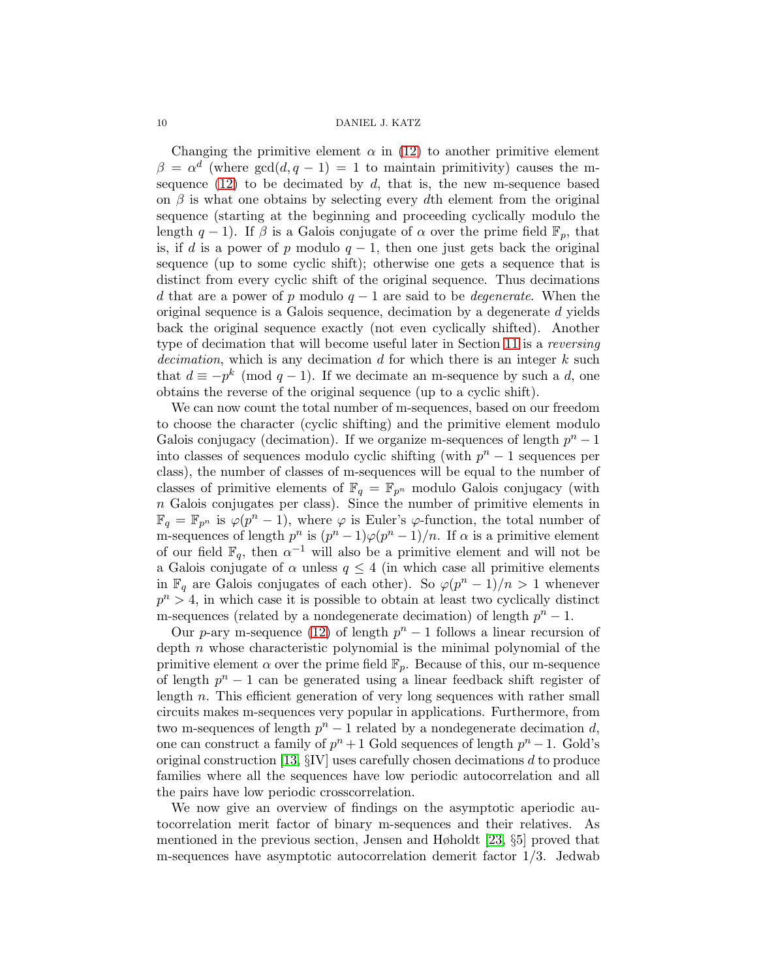Changing the primitive element  $\alpha$  in [\(12\)](#page-8-2) to another primitive element  $\beta = \alpha^d$  (where  $gcd(d, q - 1) = 1$  to maintain primitivity) causes the msequence  $(12)$  to be decimated by d, that is, the new m-sequence based on  $\beta$  is what one obtains by selecting every dth element from the original sequence (starting at the beginning and proceeding cyclically modulo the length  $q-1$ ). If  $\beta$  is a Galois conjugate of  $\alpha$  over the prime field  $\mathbb{F}_p$ , that is, if d is a power of p modulo  $q-1$ , then one just gets back the original sequence (up to some cyclic shift); otherwise one gets a sequence that is distinct from every cyclic shift of the original sequence. Thus decimations d that are a power of p modulo  $q-1$  are said to be *degenerate*. When the original sequence is a Galois sequence, decimation by a degenerate d yields back the original sequence exactly (not even cyclically shifted). Another type of decimation that will become useful later in Section [11](#page-18-0) is a reversing decimation, which is any decimation  $d$  for which there is an integer  $k$  such that  $d \equiv -p^k \pmod{q-1}$ . If we decimate an m-sequence by such a d, one obtains the reverse of the original sequence (up to a cyclic shift).

We can now count the total number of m-sequences, based on our freedom to choose the character (cyclic shifting) and the primitive element modulo Galois conjugacy (decimation). If we organize m-sequences of length  $p^n - 1$ into classes of sequences modulo cyclic shifting (with  $p^{n} - 1$  sequences per class), the number of classes of m-sequences will be equal to the number of classes of primitive elements of  $\mathbb{F}_q = \mathbb{F}_{p^n}$  modulo Galois conjugacy (with  $n$  Galois conjugates per class). Since the number of primitive elements in  $\mathbb{F}_q = \mathbb{F}_{p^n}$  is  $\varphi(p^n-1)$ , where  $\varphi$  is Euler's  $\varphi$ -function, the total number of m-sequences of length  $p^n$  is  $(p^n - 1)\varphi(p^n - 1)/n$ . If  $\alpha$  is a primitive element of our field  $\mathbb{F}_q$ , then  $\alpha^{-1}$  will also be a primitive element and will not be a Galois conjugate of  $\alpha$  unless  $q \leq 4$  (in which case all primitive elements in  $\mathbb{F}_q$  are Galois conjugates of each other). So  $\varphi(p^n-1)/n > 1$  whenever  $p^{n} > 4$ , in which case it is possible to obtain at least two cyclically distinct m-sequences (related by a nondegenerate decimation) of length  $p^{n} - 1$ .

Our p-ary m-sequence [\(12\)](#page-8-2) of length  $p<sup>n</sup> - 1$  follows a linear recursion of depth n whose characteristic polynomial is the minimal polynomial of the primitive element  $\alpha$  over the prime field  $\mathbb{F}_p$ . Because of this, our m-sequence of length  $p^{n} - 1$  can be generated using a linear feedback shift register of length n. This efficient generation of very long sequences with rather small circuits makes m-sequences very popular in applications. Furthermore, from two m-sequences of length  $p^n - 1$  related by a nondegenerate decimation d, one can construct a family of  $p^{n} + 1$  Gold sequences of length  $p^{n} - 1$ . Gold's original construction [\[13,](#page-22-9) §IV] uses carefully chosen decimations d to produce families where all the sequences have low periodic autocorrelation and all the pairs have low periodic crosscorrelation.

We now give an overview of findings on the asymptotic aperiodic autocorrelation merit factor of binary m-sequences and their relatives. As mentioned in the previous section, Jensen and Høholdt [\[23,](#page-22-8) §5] proved that m-sequences have asymptotic autocorrelation demerit factor 1/3. Jedwab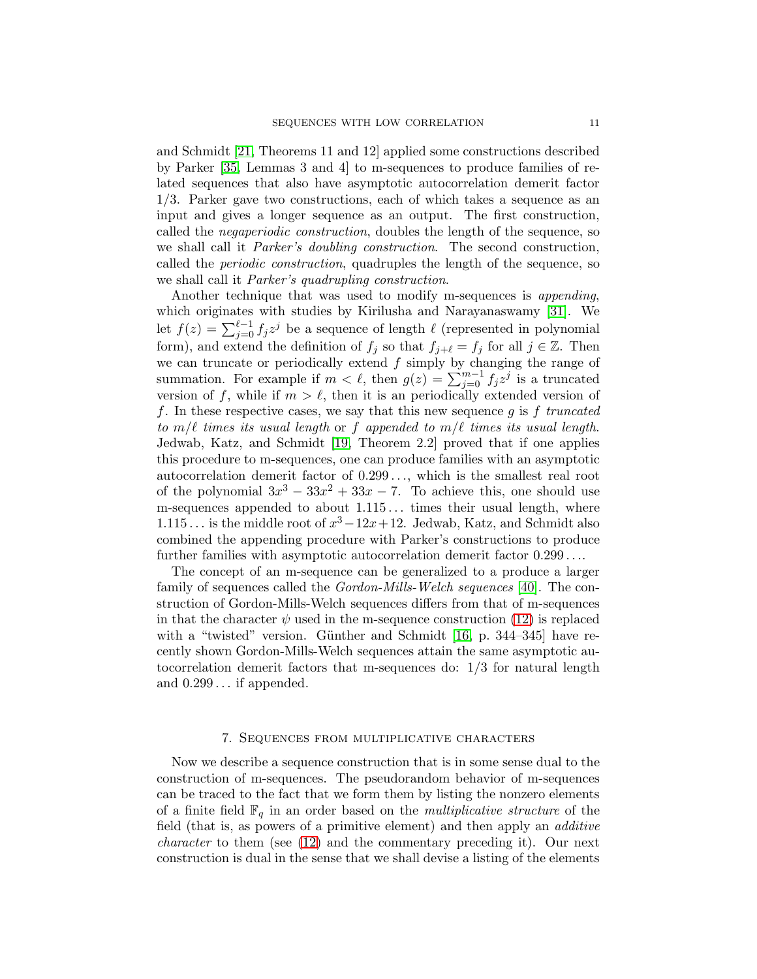and Schmidt [\[21,](#page-22-10) Theorems 11 and 12] applied some constructions described by Parker [\[35,](#page-23-5) Lemmas 3 and 4] to m-sequences to produce families of related sequences that also have asymptotic autocorrelation demerit factor 1/3. Parker gave two constructions, each of which takes a sequence as an input and gives a longer sequence as an output. The first construction, called the negaperiodic construction, doubles the length of the sequence, so we shall call it Parker's doubling construction. The second construction, called the *periodic construction*, quadruples the length of the sequence, so we shall call it Parker's quadrupling construction.

Another technique that was used to modify m-sequences is *appending*, which originates with studies by Kirilusha and Narayanaswamy [\[31\]](#page-23-6). We let  $f(z) = \sum_{j=0}^{\ell-1} f_j z^j$  be a sequence of length  $\ell$  (represented in polynomial form), and extend the definition of  $f_j$  so that  $f_{j+\ell} = f_j$  for all  $j \in \mathbb{Z}$ . Then we can truncate or periodically extend  $f$  simply by changing the range of summation. For example if  $m < \ell$ , then  $g(z) = \sum_{j=0}^{m-1} f_j z^j$  is a truncated version of f, while if  $m > \ell$ , then it is an periodically extended version of f. In these respective cases, we say that this new sequence q is f truncated to  $m/\ell$  times its usual length or f appended to  $m/\ell$  times its usual length. Jedwab, Katz, and Schmidt [\[19,](#page-22-11) Theorem 2.2] proved that if one applies this procedure to m-sequences, one can produce families with an asymptotic autocorrelation demerit factor of  $0.299...$ , which is the smallest real root of the polynomial  $3x^3 - 33x^2 + 33x - 7$ . To achieve this, one should use m-sequences appended to about 1.115... times their usual length, where 1.115... is the middle root of  $x^3 - 12x + 12$ . Jedwab, Katz, and Schmidt also combined the appending procedure with Parker's constructions to produce further families with asymptotic autocorrelation demerit factor 0.299 . . ..

The concept of an m-sequence can be generalized to a produce a larger family of sequences called the Gordon-Mills-Welch sequences [\[40\]](#page-23-7). The construction of Gordon-Mills-Welch sequences differs from that of m-sequences in that the character  $\psi$  used in the m-sequence construction [\(12\)](#page-8-2) is replaced with a "twisted" version. Günther and Schmidt [\[16,](#page-22-12) p. 344–345] have recently shown Gordon-Mills-Welch sequences attain the same asymptotic autocorrelation demerit factors that m-sequences do: 1/3 for natural length and 0.299 . . . if appended.

### 7. Sequences from multiplicative characters

<span id="page-10-0"></span>Now we describe a sequence construction that is in some sense dual to the construction of m-sequences. The pseudorandom behavior of m-sequences can be traced to the fact that we form them by listing the nonzero elements of a finite field  $\mathbb{F}_q$  in an order based on the *multiplicative structure* of the field (that is, as powers of a primitive element) and then apply an additive character to them (see [\(12\)](#page-8-2) and the commentary preceding it). Our next construction is dual in the sense that we shall devise a listing of the elements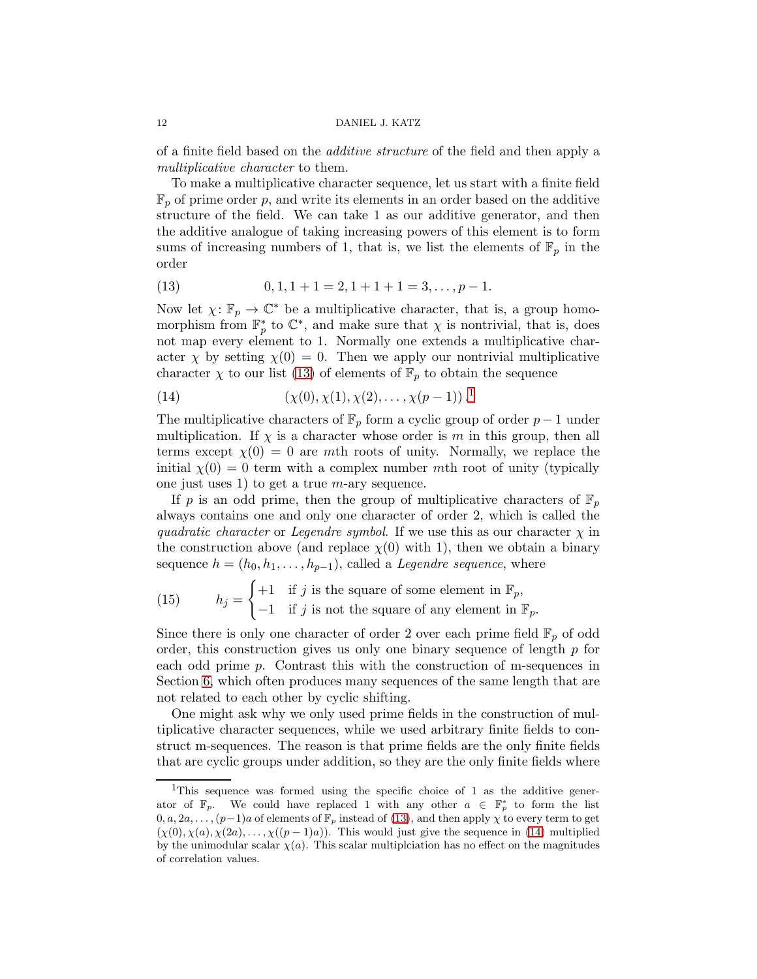of a finite field based on the additive structure of the field and then apply a multiplicative character to them.

To make a multiplicative character sequence, let us start with a finite field  $\mathbb{F}_p$  of prime order p, and write its elements in an order based on the additive structure of the field. We can take 1 as our additive generator, and then the additive analogue of taking increasing powers of this element is to form sums of increasing numbers of 1, that is, we list the elements of  $\mathbb{F}_p$  in the order

<span id="page-11-0"></span>(13) 
$$
0, 1, 1 + 1 = 2, 1 + 1 + 1 = 3, \dots, p - 1.
$$

Now let  $\chi: \mathbb{F}_p \to \mathbb{C}^*$  be a multiplicative character, that is, a group homomorphism from  $\mathbb{F}_p^*$  to  $\mathbb{C}^*$ , and make sure that  $\chi$  is nontrivial, that is, does not map every element to 1. Normally one extends a multiplicative character  $\chi$  by setting  $\chi$ (0) = 0. Then we apply our nontrivial multiplicative character  $\chi$  to our list [\(13\)](#page-11-0) of elements of  $\mathbb{F}_p$  to obtain the sequence

<span id="page-11-2"></span>(14) 
$$
(\chi(0), \chi(1), \chi(2), \ldots, \chi(p-1))
$$
<sup>1</sup>.

The multiplicative characters of  $\mathbb{F}_p$  form a cyclic group of order  $p-1$  under multiplication. If  $\chi$  is a character whose order is m in this group, then all terms except  $\chi(0) = 0$  are mth roots of unity. Normally, we replace the initial  $\chi(0) = 0$  term with a complex number mth root of unity (typically one just uses 1) to get a true  $m$ -ary sequence.

If p is an odd prime, then the group of multiplicative characters of  $\mathbb{F}_p$ always contains one and only one character of order 2, which is called the quadratic character or Legendre symbol. If we use this as our character  $\chi$  in the construction above (and replace  $\chi(0)$  with 1), then we obtain a binary sequence  $h = (h_0, h_1, \ldots, h_{p-1})$ , called a *Legendre sequence*, where

<span id="page-11-3"></span>(15) 
$$
h_j = \begin{cases} +1 & \text{if } j \text{ is the square of some element in } \mathbb{F}_p, \\ -1 & \text{if } j \text{ is not the square of any element in } \mathbb{F}_p. \end{cases}
$$

Since there is only one character of order 2 over each prime field  $\mathbb{F}_p$  of odd order, this construction gives us only one binary sequence of length  $p$  for each odd prime p. Contrast this with the construction of m-sequences in Section [6,](#page-8-0) which often produces many sequences of the same length that are not related to each other by cyclic shifting.

One might ask why we only used prime fields in the construction of multiplicative character sequences, while we used arbitrary finite fields to construct m-sequences. The reason is that prime fields are the only finite fields that are cyclic groups under addition, so they are the only finite fields where

<span id="page-11-1"></span><sup>&</sup>lt;sup>1</sup>This sequence was formed using the specific choice of 1 as the additive generator of  $\mathbb{F}_p$ . We could have replaced 1 with any other  $a \in \mathbb{F}_p^*$  to form the list  $0, a, 2a, \ldots, (p-1)a$  of elements of  $\mathbb{F}_p$  instead of [\(13\)](#page-11-0), and then apply  $\chi$  to every term to get  $(\chi(0), \chi(a), \chi(2a), \ldots, \chi((p-1)a))$ . This would just give the sequence in [\(14\)](#page-11-2) multiplied by the unimodular scalar  $\chi(a)$ . This scalar multiplciation has no effect on the magnitudes of correlation values.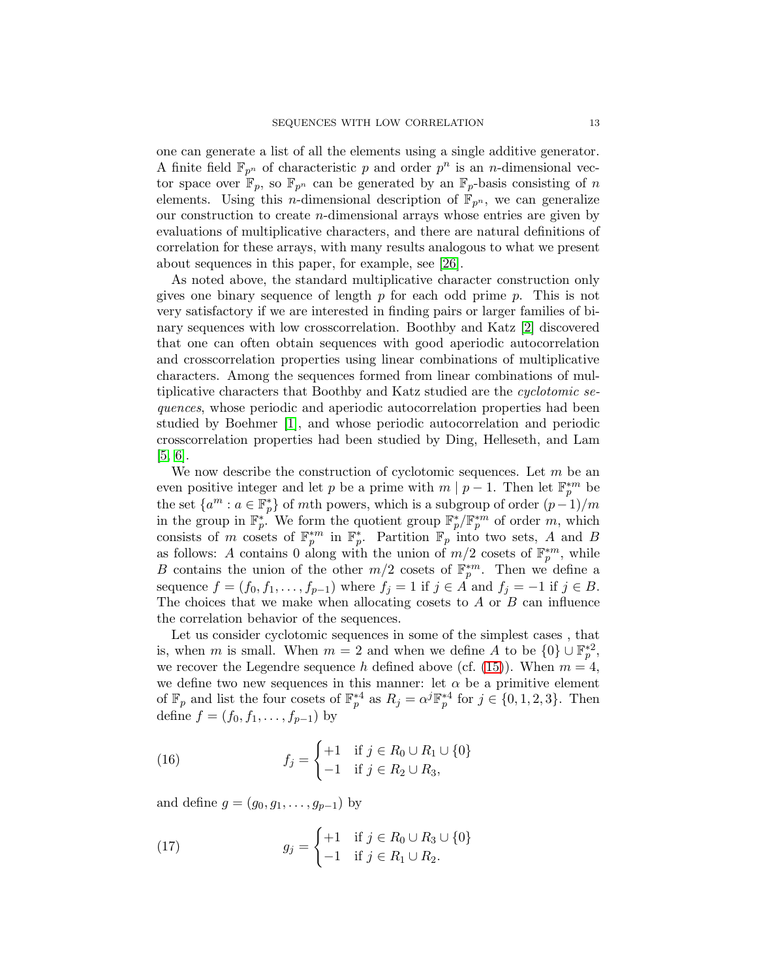one can generate a list of all the elements using a single additive generator. A finite field  $\mathbb{F}_{p^n}$  of characteristic p and order  $p^n$  is an n-dimensional vector space over  $\mathbb{F}_p$ , so  $\mathbb{F}_{p^n}$  can be generated by an  $\mathbb{F}_p$ -basis consisting of n elements. Using this *n*-dimensional description of  $\mathbb{F}_{p^n}$ , we can generalize our construction to create n-dimensional arrays whose entries are given by evaluations of multiplicative characters, and there are natural definitions of correlation for these arrays, with many results analogous to what we present about sequences in this paper, for example, see [\[26\]](#page-22-13).

As noted above, the standard multiplicative character construction only gives one binary sequence of length  $p$  for each odd prime  $p$ . This is not very satisfactory if we are interested in finding pairs or larger families of binary sequences with low crosscorrelation. Boothby and Katz [\[2\]](#page-21-1) discovered that one can often obtain sequences with good aperiodic autocorrelation and crosscorrelation properties using linear combinations of multiplicative characters. Among the sequences formed from linear combinations of multiplicative characters that Boothby and Katz studied are the cyclotomic sequences, whose periodic and aperiodic autocorrelation properties had been studied by Boehmer [\[1\]](#page-21-0), and whose periodic autocorrelation and periodic crosscorrelation properties had been studied by Ding, Helleseth, and Lam [\[5,](#page-22-14) [6\]](#page-22-15).

We now describe the construction of cyclotomic sequences. Let  $m$  be an even positive integer and let p be a prime with  $m | p - 1$ . Then let  $\mathbb{F}_p^{*m}$  be the set  $\{a^m : a \in \mathbb{F}_p^*\}$  of mth powers, which is a subgroup of order  $(p-1)/m$ in the group in  $\mathbb{F}_p^*$ . We form the quotient group  $\mathbb{F}_p^*/\mathbb{F}_p^{*m}$  of order m, which consists of m cosets of  $\mathbb{F}_p^{*m}$  in  $\mathbb{F}_p^*$ . Partition  $\mathbb{F}_p$  into two sets, A and B as follows: A contains 0 along with the union of  $m/2$  cosets of  $\mathbb{F}_p^{*m}$ , while B contains the union of the other  $m/2$  cosets of  $\mathbb{F}_p^{*m}$ . Then we define a sequence  $f = (f_0, f_1, \ldots, f_{p-1})$  where  $f_j = 1$  if  $j \in A$  and  $f_j = -1$  if  $j \in B$ . The choices that we make when allocating cosets to  $A$  or  $B$  can influence the correlation behavior of the sequences.

Let us consider cyclotomic sequences in some of the simplest cases , that is, when m is small. When  $m = 2$  and when we define A to be  $\{0\} \cup \mathbb{F}_p^{*2}$ , we recover the Legendre sequence h defined above (cf. [\(15\)](#page-11-3)). When  $m = 4$ , we define two new sequences in this manner: let  $\alpha$  be a primitive element of  $\mathbb{F}_p$  and list the four cosets of  $\mathbb{F}_p^{*4}$  as  $R_j = \alpha^j \mathbb{F}_p^{*4}$  for  $j \in \{0, 1, 2, 3\}$ . Then define  $f = (f_0, f_1, \ldots, f_{p-1})$  by

<span id="page-12-0"></span>(16) 
$$
f_j = \begin{cases} +1 & \text{if } j \in R_0 \cup R_1 \cup \{0\} \\ -1 & \text{if } j \in R_2 \cup R_3, \end{cases}
$$

and define  $g = (g_0, g_1, \ldots, g_{p-1})$  by

<span id="page-12-1"></span>(17) 
$$
g_j = \begin{cases} +1 & \text{if } j \in R_0 \cup R_3 \cup \{0\} \\ -1 & \text{if } j \in R_1 \cup R_2. \end{cases}
$$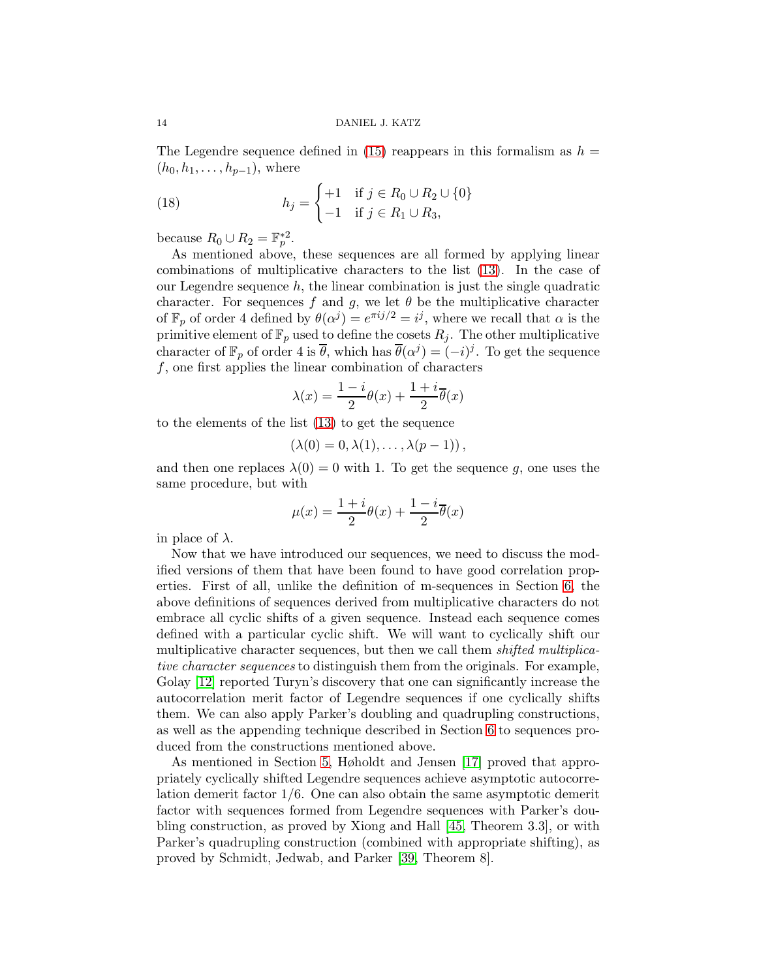The Legendre sequence defined in [\(15\)](#page-11-3) reappears in this formalism as  $h =$  $(h_0, h_1, \ldots, h_{p-1}),$  where

<span id="page-13-0"></span>(18) 
$$
h_j = \begin{cases} +1 & \text{if } j \in R_0 \cup R_2 \cup \{0\} \\ -1 & \text{if } j \in R_1 \cup R_3, \end{cases}
$$

because  $R_0 \cup R_2 = \mathbb{F}_p^{*2}$ .

As mentioned above, these sequences are all formed by applying linear combinations of multiplicative characters to the list [\(13\)](#page-11-0). In the case of our Legendre sequence  $h$ , the linear combination is just the single quadratic character. For sequences f and g, we let  $\theta$  be the multiplicative character of  $\mathbb{F}_p$  of order 4 defined by  $\theta(\alpha^j) = e^{\pi i j/2} = i^j$ , where we recall that  $\alpha$  is the primitive element of  $\mathbb{F}_p$  used to define the cosets  $R_j$ . The other multiplicative character of  $\mathbb{F}_p$  of order 4 is  $\overline{\theta}$ , which has  $\overline{\theta}(\alpha^j) = (-i)^j$ . To get the sequence  $f$ , one first applies the linear combination of characters

$$
\lambda(x) = \frac{1-i}{2}\theta(x) + \frac{1+i}{2}\overline{\theta}(x)
$$

to the elements of the list [\(13\)](#page-11-0) to get the sequence

$$
(\lambda(0)=0,\lambda(1),\ldots,\lambda(p-1)),
$$

and then one replaces  $\lambda(0) = 0$  with 1. To get the sequence g, one uses the same procedure, but with

$$
\mu(x) = \frac{1+i}{2}\theta(x) + \frac{1-i}{2}\overline{\theta}(x)
$$

in place of  $\lambda$ .

Now that we have introduced our sequences, we need to discuss the modified versions of them that have been found to have good correlation properties. First of all, unlike the definition of m-sequences in Section [6,](#page-8-0) the above definitions of sequences derived from multiplicative characters do not embrace all cyclic shifts of a given sequence. Instead each sequence comes defined with a particular cyclic shift. We will want to cyclically shift our multiplicative character sequences, but then we call them *shifted multiplica*tive character sequences to distinguish them from the originals. For example, Golay [\[12\]](#page-22-16) reported Turyn's discovery that one can significantly increase the autocorrelation merit factor of Legendre sequences if one cyclically shifts them. We can also apply Parker's doubling and quadrupling constructions, as well as the appending technique described in Section [6](#page-8-0) to sequences produced from the constructions mentioned above.

As mentioned in Section [5,](#page-7-0) Høholdt and Jensen [\[17\]](#page-22-6) proved that appropriately cyclically shifted Legendre sequences achieve asymptotic autocorrelation demerit factor 1/6. One can also obtain the same asymptotic demerit factor with sequences formed from Legendre sequences with Parker's doubling construction, as proved by Xiong and Hall [\[45,](#page-23-8) Theorem 3.3], or with Parker's quadrupling construction (combined with appropriate shifting), as proved by Schmidt, Jedwab, and Parker [\[39,](#page-23-9) Theorem 8].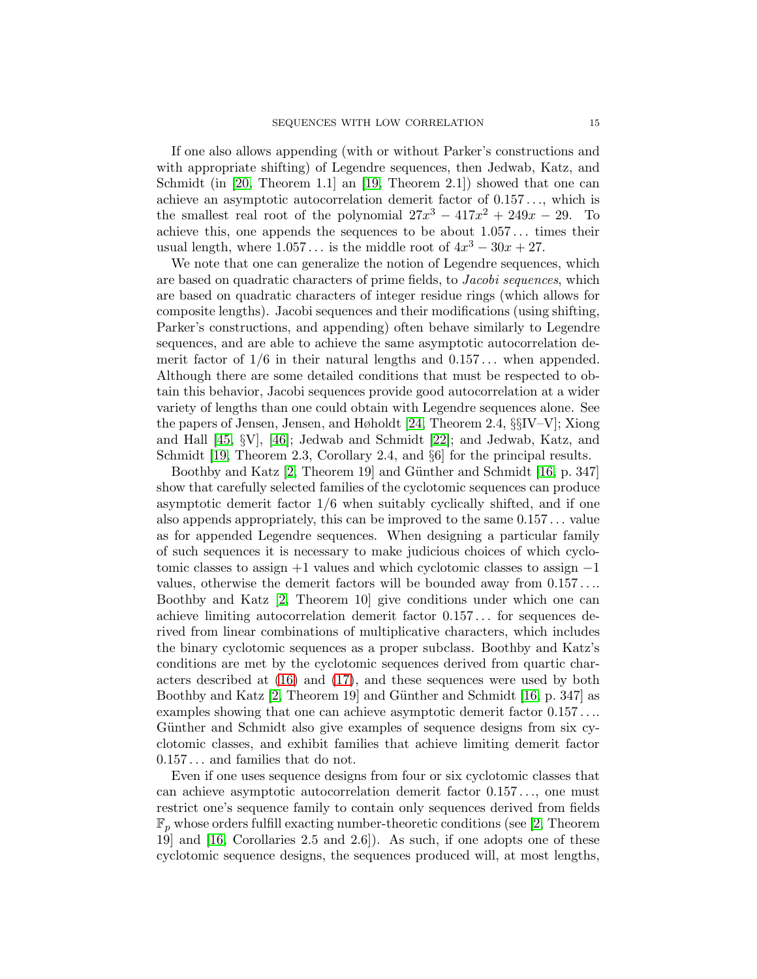If one also allows appending (with or without Parker's constructions and with appropriate shifting) of Legendre sequences, then Jedwab, Katz, and Schmidt (in [\[20,](#page-22-7) Theorem 1.1] an [\[19,](#page-22-11) Theorem 2.1]) showed that one can achieve an asymptotic autocorrelation demerit factor of  $0.157\dots$ , which is the smallest real root of the polynomial  $27x^3 - 417x^2 + 249x - 29$ . To achieve this, one appends the sequences to be about  $1.057...$  times their usual length, where  $1.057...$  is the middle root of  $4x^3 - 30x + 27$ .

We note that one can generalize the notion of Legendre sequences, which are based on quadratic characters of prime fields, to Jacobi sequences, which are based on quadratic characters of integer residue rings (which allows for composite lengths). Jacobi sequences and their modifications (using shifting, Parker's constructions, and appending) often behave similarly to Legendre sequences, and are able to achieve the same asymptotic autocorrelation demerit factor of  $1/6$  in their natural lengths and  $0.157...$  when appended. Although there are some detailed conditions that must be respected to obtain this behavior, Jacobi sequences provide good autocorrelation at a wider variety of lengths than one could obtain with Legendre sequences alone. See the papers of Jensen, Jensen, and Høholdt [\[24,](#page-22-17) Theorem 2.4, §§IV–V]; Xiong and Hall [\[45,](#page-23-8) §V], [\[46\]](#page-23-10); Jedwab and Schmidt [\[22\]](#page-22-18); and Jedwab, Katz, and Schmidt [\[19,](#page-22-11) Theorem 2.3, Corollary 2.4, and  $\S6$ ] for the principal results.

Boothby and Katz [\[2,](#page-21-1) Theorem 19] and Günther and Schmidt [\[16,](#page-22-12) p. 347] show that carefully selected families of the cyclotomic sequences can produce asymptotic demerit factor 1/6 when suitably cyclically shifted, and if one also appends appropriately, this can be improved to the same  $0.157...$  value as for appended Legendre sequences. When designing a particular family of such sequences it is necessary to make judicious choices of which cyclotomic classes to assign +1 values and which cyclotomic classes to assign −1 values, otherwise the demerit factors will be bounded away from 0.157 . . .. Boothby and Katz [\[2,](#page-21-1) Theorem 10] give conditions under which one can achieve limiting autocorrelation demerit factor 0.157 . . . for sequences derived from linear combinations of multiplicative characters, which includes the binary cyclotomic sequences as a proper subclass. Boothby and Katz's conditions are met by the cyclotomic sequences derived from quartic characters described at [\(16\)](#page-12-0) and [\(17\)](#page-12-1), and these sequences were used by both Boothby and Katz  $[2,$  Theorem 19 and Günther and Schmidt  $[16, p. 347]$  as examples showing that one can achieve asymptotic demerit factor 0.157 . . .. Günther and Schmidt also give examples of sequence designs from six cyclotomic classes, and exhibit families that achieve limiting demerit factor 0.157 . . . and families that do not.

Even if one uses sequence designs from four or six cyclotomic classes that can achieve asymptotic autocorrelation demerit factor 0.157 . . ., one must restrict one's sequence family to contain only sequences derived from fields  $\mathbb{F}_p$  whose orders fulfill exacting number-theoretic conditions (see [\[2,](#page-21-1) Theorem 19] and [\[16,](#page-22-12) Corollaries 2.5 and 2.6]). As such, if one adopts one of these cyclotomic sequence designs, the sequences produced will, at most lengths,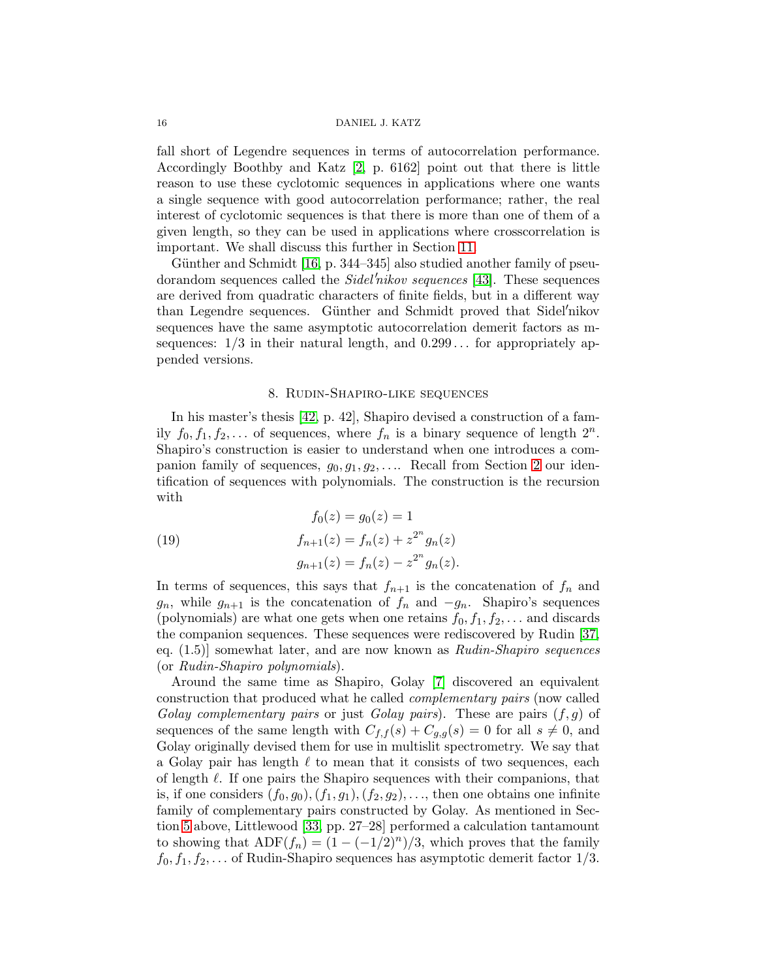#### 16 DANIEL J. KATZ

fall short of Legendre sequences in terms of autocorrelation performance. Accordingly Boothby and Katz [\[2,](#page-21-1) p. 6162] point out that there is little reason to use these cyclotomic sequences in applications where one wants a single sequence with good autocorrelation performance; rather, the real interest of cyclotomic sequences is that there is more than one of them of a given length, so they can be used in applications where crosscorrelation is important. We shall discuss this further in Section [11.](#page-18-0)

Günther and Schmidt [\[16,](#page-22-12) p. 344–345] also studied another family of pseudorandom sequences called the *Sidel'nikov sequences* [\[43\]](#page-23-11). These sequences are derived from quadratic characters of finite fields, but in a different way than Legendre sequences. Günther and Schmidt proved that Sidel'nikov sequences have the same asymptotic autocorrelation demerit factors as msequences:  $1/3$  in their natural length, and  $0.299...$  for appropriately appended versions.

### 8. Rudin-Shapiro-like sequences

<span id="page-15-0"></span>In his master's thesis [\[42,](#page-23-12) p. 42], Shapiro devised a construction of a family  $f_0, f_1, f_2, \ldots$  of sequences, where  $f_n$  is a binary sequence of length  $2^n$ . Shapiro's construction is easier to understand when one introduces a companion family of sequences,  $g_0, g_1, g_2, \ldots$  Recall from Section [2](#page-1-0) our identification of sequences with polynomials. The construction is the recursion with

<span id="page-15-1"></span>(19) 
$$
f_0(z) = g_0(z) = 1
$$

$$
f_{n+1}(z) = f_n(z) + z^{2^n} g_n(z)
$$

$$
g_{n+1}(z) = f_n(z) - z^{2^n} g_n(z).
$$

In terms of sequences, this says that  $f_{n+1}$  is the concatenation of  $f_n$  and  $g_n$ , while  $g_{n+1}$  is the concatenation of  $f_n$  and  $-g_n$ . Shapiro's sequences (polynomials) are what one gets when one retains  $f_0, f_1, f_2, \ldots$  and discards the companion sequences. These sequences were rediscovered by Rudin [\[37,](#page-23-13) eq.  $(1.5)$  somewhat later, and are now known as  $Rudin-Shapiro$  sequences (or Rudin-Shapiro polynomials).

Around the same time as Shapiro, Golay [\[7\]](#page-22-19) discovered an equivalent construction that produced what he called complementary pairs (now called Golay complementary pairs or just Golay pairs). These are pairs  $(f, g)$  of sequences of the same length with  $C_{f,f}(s) + C_{g,g}(s) = 0$  for all  $s \neq 0$ , and Golay originally devised them for use in multislit spectrometry. We say that a Golay pair has length  $\ell$  to mean that it consists of two sequences, each of length  $\ell$ . If one pairs the Shapiro sequences with their companions, that is, if one considers  $(f_0, g_0), (f_1, g_1), (f_2, g_2), \ldots$ , then one obtains one infinite family of complementary pairs constructed by Golay. As mentioned in Section [5](#page-7-0) above, Littlewood [\[33,](#page-23-3) pp. 27–28] performed a calculation tantamount to showing that  $\text{ADF}(f_n) = (1 - (-1/2)^n)/3$ , which proves that the family  $f_0, f_1, f_2, \ldots$  of Rudin-Shapiro sequences has asymptotic demerit factor  $1/3$ .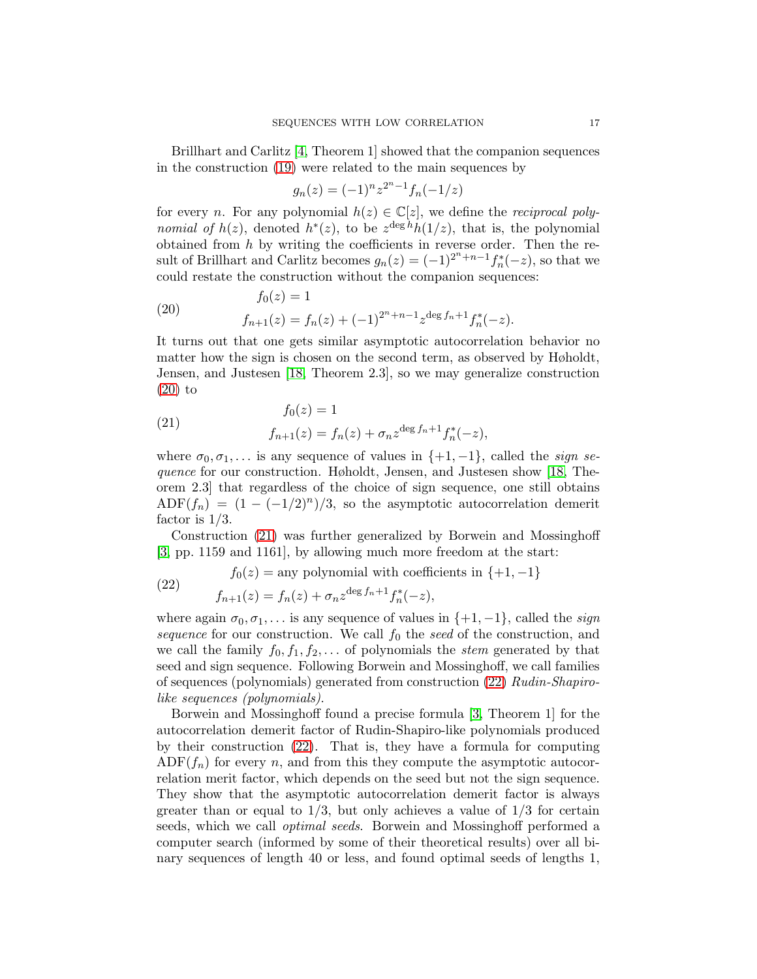Brillhart and Carlitz [\[4,](#page-21-2) Theorem 1] showed that the companion sequences in the construction [\(19\)](#page-15-1) were related to the main sequences by

$$
g_n(z) = (-1)^n z^{2^n - 1} f_n(-1/z)
$$

for every n. For any polynomial  $h(z) \in \mathbb{C}[z]$ , we define the *reciprocal polynomial of*  $h(z)$ , denoted  $h^*(z)$ , to be  $z^{\deg h}h(1/z)$ , that is, the polynomial obtained from  $h$  by writing the coefficients in reverse order. Then the result of Brillhart and Carlitz becomes  $g_n(z) = (-1)^{2^n + n - 1} f_n^*(-z)$ , so that we could restate the construction without the companion sequences:

<span id="page-16-0"></span>(20) 
$$
f_0(z) = 1
$$

$$
f_{n+1}(z) = f_n(z) + (-1)^{2^n + n - 1} z^{\deg f_n + 1} f_n^*(-z).
$$

It turns out that one gets similar asymptotic autocorrelation behavior no matter how the sign is chosen on the second term, as observed by Høholdt, Jensen, and Justesen [\[18,](#page-22-20) Theorem 2.3], so we may generalize construction [\(20\)](#page-16-0) to

<span id="page-16-1"></span>(21) 
$$
f_0(z) = 1
$$

$$
f_{n+1}(z) = f_n(z) + \sigma_n z^{\deg f_n + 1} f_n^*(-z),
$$

where  $\sigma_0, \sigma_1, \ldots$  is any sequence of values in  $\{+1, -1\}$ , called the *sign se*quence for our construction. Høholdt, Jensen, and Justesen show [\[18,](#page-22-20) Theorem 2.3] that regardless of the choice of sign sequence, one still obtains  $ADF(f_n) = (1 - (-1/2)^n)/3$ , so the asymptotic autocorrelation demerit factor is  $1/3$ .

Construction [\(21\)](#page-16-1) was further generalized by Borwein and Mossinghoff [\[3,](#page-21-3) pp. 1159 and 1161], by allowing much more freedom at the start:

<span id="page-16-2"></span>(22) 
$$
f_0(z) = \text{any polynomial with coefficients in } \{+1, -1\}
$$

$$
f_{n+1}(z) = f_n(z) + \sigma_n z^{\deg f_n + 1} f_n^*(-z),
$$

where again  $\sigma_0, \sigma_1, \ldots$  is any sequence of values in  $\{+1, -1\}$ , called the *sign* sequence for our construction. We call  $f_0$  the seed of the construction, and we call the family  $f_0, f_1, f_2, \ldots$  of polynomials the stem generated by that seed and sign sequence. Following Borwein and Mossinghoff, we call families of sequences (polynomials) generated from construction [\(22\)](#page-16-2) Rudin-Shapirolike sequences (polynomials).

Borwein and Mossinghoff found a precise formula [\[3,](#page-21-3) Theorem 1] for the autocorrelation demerit factor of Rudin-Shapiro-like polynomials produced by their construction [\(22\)](#page-16-2). That is, they have a formula for computing  $ADF(f_n)$  for every n, and from this they compute the asymptotic autocorrelation merit factor, which depends on the seed but not the sign sequence. They show that the asymptotic autocorrelation demerit factor is always greater than or equal to  $1/3$ , but only achieves a value of  $1/3$  for certain seeds, which we call optimal seeds. Borwein and Mossinghoff performed a computer search (informed by some of their theoretical results) over all binary sequences of length 40 or less, and found optimal seeds of lengths 1,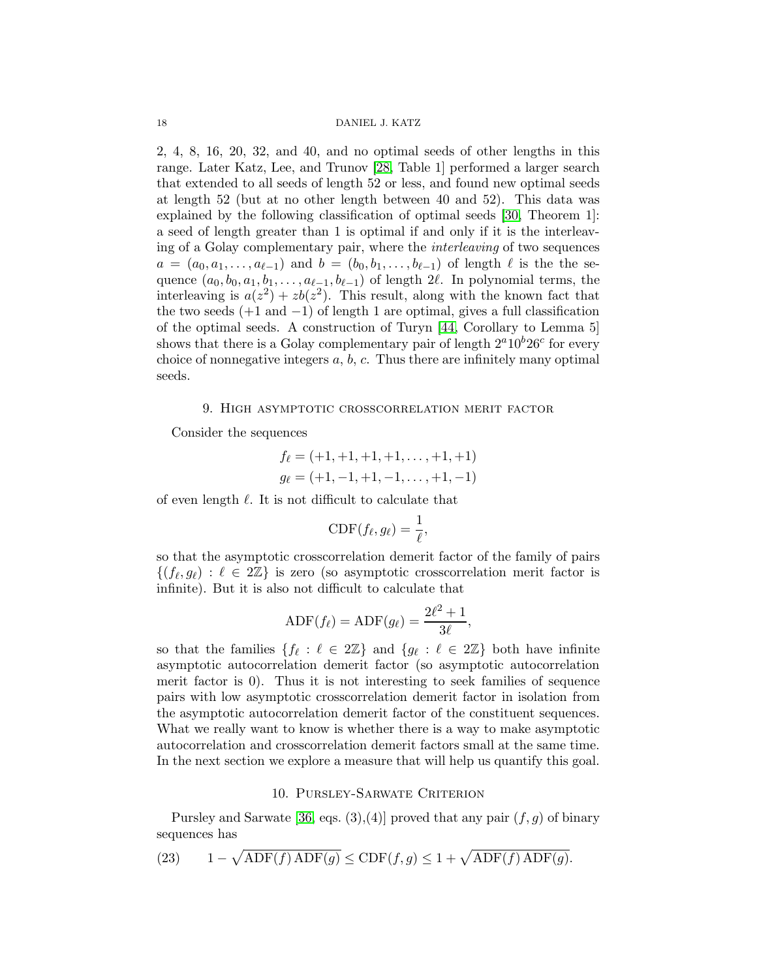2, 4, 8, 16, 20, 32, and 40, and no optimal seeds of other lengths in this range. Later Katz, Lee, and Trunov [\[28,](#page-22-21) Table 1] performed a larger search that extended to all seeds of length 52 or less, and found new optimal seeds at length 52 (but at no other length between 40 and 52). This data was explained by the following classification of optimal seeds [\[30,](#page-23-14) Theorem 1]: a seed of length greater than 1 is optimal if and only if it is the interleaving of a Golay complementary pair, where the interleaving of two sequences  $a = (a_0, a_1, \ldots, a_{\ell-1})$  and  $b = (b_0, b_1, \ldots, b_{\ell-1})$  of length  $\ell$  is the the sequence  $(a_0, b_0, a_1, b_1, \ldots, a_{\ell-1}, b_{\ell-1})$  of length 2 $\ell$ . In polynomial terms, the interleaving is  $a(z^2) + zb(z^2)$ . This result, along with the known fact that the two seeds  $(+1 \text{ and } -1)$  of length 1 are optimal, gives a full classification of the optimal seeds. A construction of Turyn [\[44,](#page-23-15) Corollary to Lemma 5] shows that there is a Golay complementary pair of length  $2^a 10^b 26^c$  for every choice of nonnegative integers  $a, b, c$ . Thus there are infinitely many optimal seeds.

### 9. High asymptotic crosscorrelation merit factor

<span id="page-17-0"></span>Consider the sequences

$$
f_{\ell} = (+1, +1, +1, +1, \dots, +1, +1)
$$

$$
g_{\ell} = (+1, -1, +1, -1, \dots, +1, -1)
$$

of even length  $\ell$ . It is not difficult to calculate that

$$
\text{CDF}(f_{\ell}, g_{\ell}) = \frac{1}{\ell},
$$

so that the asymptotic crosscorrelation demerit factor of the family of pairs  $\{(f_\ell, g_\ell) : \ell \in 2\mathbb{Z}\}$  is zero (so asymptotic crosscorrelation merit factor is infinite). But it is also not difficult to calculate that

$$
\text{ADF}(f_{\ell}) = \text{ADF}(g_{\ell}) = \frac{2\ell^2 + 1}{3\ell},
$$

so that the families  $\{f_\ell : \ell \in 2\mathbb{Z}\}$  and  $\{g_\ell : \ell \in 2\mathbb{Z}\}$  both have infinite asymptotic autocorrelation demerit factor (so asymptotic autocorrelation merit factor is 0). Thus it is not interesting to seek families of sequence pairs with low asymptotic crosscorrelation demerit factor in isolation from the asymptotic autocorrelation demerit factor of the constituent sequences. What we really want to know is whether there is a way to make asymptotic autocorrelation and crosscorrelation demerit factors small at the same time. In the next section we explore a measure that will help us quantify this goal.

## 10. Pursley-Sarwate Criterion

<span id="page-17-1"></span>Pursley and Sarwate [\[36,](#page-23-16) eqs.  $(3),(4)$ ] proved that any pair  $(f,g)$  of binary sequences has

<span id="page-17-2"></span>(23) 
$$
1 - \sqrt{\text{ADF}(f) \text{ ADF}(g)} \le \text{CDF}(f, g) \le 1 + \sqrt{\text{ADF}(f) \text{ ADF}(g)}.
$$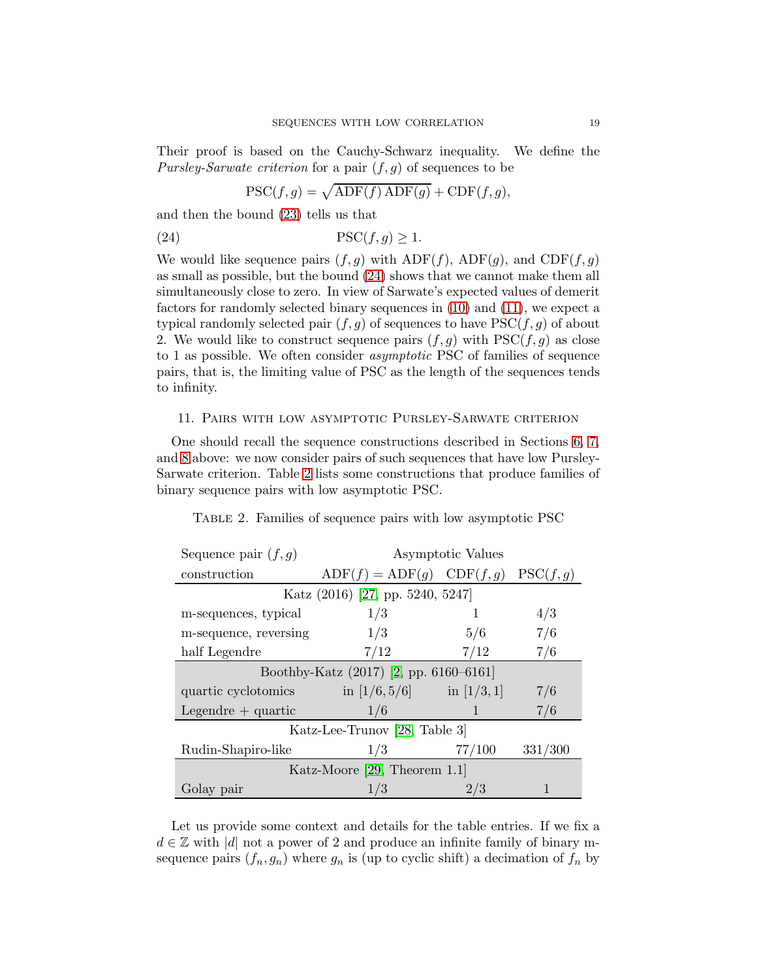Their proof is based on the Cauchy-Schwarz inequality. We define the *Pursley-Sarwate criterion* for a pair  $(f, g)$  of sequences to be

<span id="page-18-1"></span>
$$
\text{PSC}(f,g) = \sqrt{\text{ADF}(f)\,\text{ADF}(g)} + \text{CDF}(f,g),
$$

and then the bound [\(23\)](#page-17-2) tells us that

(24) PSC(f, g) ≥ 1.

We would like sequence pairs  $(f, g)$  with  $\text{ADF}(f)$ ,  $\text{ADF}(g)$ , and  $\text{CDF}(f, g)$ as small as possible, but the bound [\(24\)](#page-18-1) shows that we cannot make them all simultaneously close to zero. In view of Sarwate's expected values of demerit factors for randomly selected binary sequences in [\(10\)](#page-6-0) and [\(11\)](#page-6-2), we expect a typical randomly selected pair  $(f, g)$  of sequences to have  $PSC(f, g)$  of about 2. We would like to construct sequence pairs  $(f, g)$  with  $PSC(f, g)$  as close to 1 as possible. We often consider asymptotic PSC of families of sequence pairs, that is, the limiting value of PSC as the length of the sequences tends to infinity.

### <span id="page-18-0"></span>11. Pairs with low asymptotic Pursley-Sarwate criterion

One should recall the sequence constructions described in Sections [6,](#page-8-0) [7,](#page-10-0) and [8](#page-15-0) above: we now consider pairs of such sequences that have low Pursley-Sarwate criterion. Table [2](#page-18-2) lists some constructions that produce families of binary sequence pairs with low asymptotic PSC.

<span id="page-18-2"></span>

|  |  | TABLE 2. Families of sequence pairs with low asymptotic PSC |
|--|--|-------------------------------------------------------------|
|  |  |                                                             |

| Sequence pair $(f, g)$                 | Asymptotic Values                       |        |         |  |  |  |  |
|----------------------------------------|-----------------------------------------|--------|---------|--|--|--|--|
| construction                           | $ADF(f) = ADF(g)$ $CDF(f,g)$ $PSC(f,g)$ |        |         |  |  |  |  |
| Katz (2016) [27, pp. 5240, 5247]       |                                         |        |         |  |  |  |  |
| m-sequences, typical                   | 1/3                                     | 1      | 4/3     |  |  |  |  |
| m-sequence, reversing                  | 1/3                                     | 5/6    | 7/6     |  |  |  |  |
| half Legendre                          | 7/12                                    | 7/12   | 7/6     |  |  |  |  |
| Boothby-Katz (2017) [2, pp. 6160–6161] |                                         |        |         |  |  |  |  |
| quartic cyclotomics                    | in $[1/6, 5/6]$ in $[1/3, 1]$           |        | 7/6     |  |  |  |  |
| Legendre $+$ quartic                   | 1/6                                     | 1      | 7/6     |  |  |  |  |
| Katz-Lee-Trunov [28, Table 3]          |                                         |        |         |  |  |  |  |
| Rudin-Shapiro-like                     | 1/3                                     | 77/100 | 331/300 |  |  |  |  |
| Katz-Moore $[29,$ Theorem 1.1          |                                         |        |         |  |  |  |  |
| Golay pair                             | 1/3                                     | 2/3    |         |  |  |  |  |

Let us provide some context and details for the table entries. If we fix a  $d \in \mathbb{Z}$  with |d| not a power of 2 and produce an infinite family of binary msequence pairs  $(f_n, g_n)$  where  $g_n$  is (up to cyclic shift) a decimation of  $f_n$  by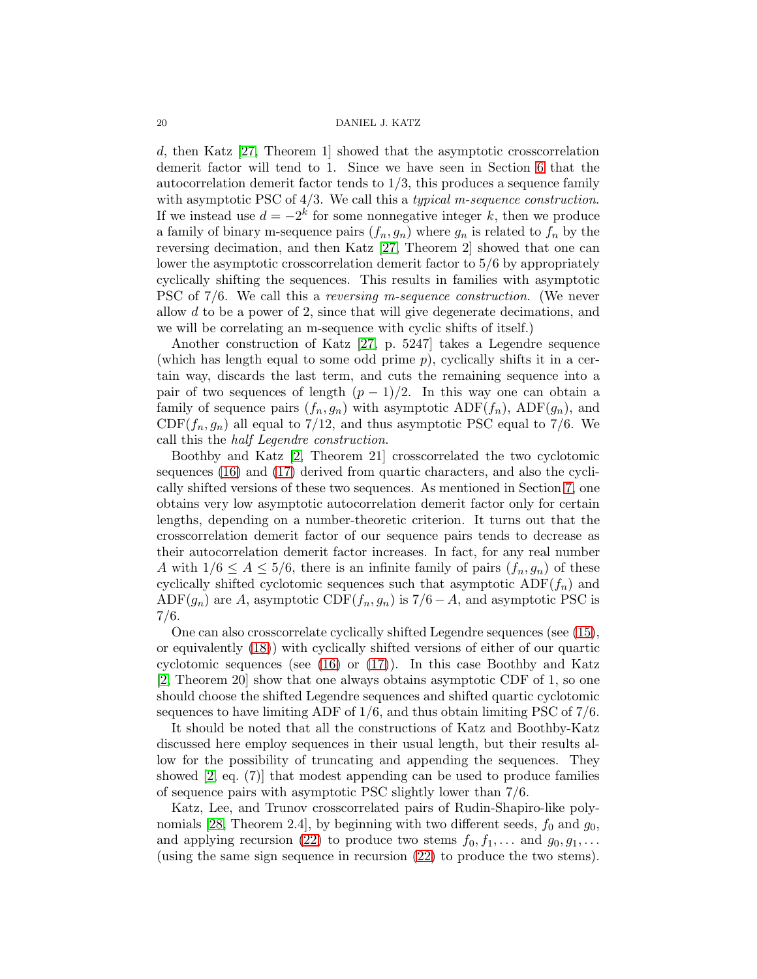d, then Katz [\[27,](#page-22-5) Theorem 1] showed that the asymptotic crosscorrelation demerit factor will tend to 1. Since we have seen in Section [6](#page-8-0) that the autocorrelation demerit factor tends to  $1/3$ , this produces a sequence family with asymptotic PSC of  $4/3$ . We call this a *typical m-sequence construction*. If we instead use  $d = -2^k$  for some nonnegative integer k, then we produce a family of binary m-sequence pairs  $(f_n, g_n)$  where  $g_n$  is related to  $f_n$  by the reversing decimation, and then Katz [\[27,](#page-22-5) Theorem 2] showed that one can lower the asymptotic crosscorrelation demerit factor to 5/6 by appropriately cyclically shifting the sequences. This results in families with asymptotic PSC of 7/6. We call this a reversing m-sequence construction. (We never allow d to be a power of 2, since that will give degenerate decimations, and we will be correlating an m-sequence with cyclic shifts of itself.)

Another construction of Katz [\[27,](#page-22-5) p. 5247] takes a Legendre sequence (which has length equal to some odd prime  $p$ ), cyclically shifts it in a certain way, discards the last term, and cuts the remaining sequence into a pair of two sequences of length  $(p-1)/2$ . In this way one can obtain a family of sequence pairs  $(f_n, g_n)$  with asymptotic  $\text{ADF}(f_n)$ ,  $\text{ADF}(g_n)$ , and  $CDF(f_n, g_n)$  all equal to 7/12, and thus asymptotic PSC equal to 7/6. We call this the half Legendre construction.

Boothby and Katz [\[2,](#page-21-1) Theorem 21] crosscorrelated the two cyclotomic sequences [\(16\)](#page-12-0) and [\(17\)](#page-12-1) derived from quartic characters, and also the cyclically shifted versions of these two sequences. As mentioned in Section [7,](#page-10-0) one obtains very low asymptotic autocorrelation demerit factor only for certain lengths, depending on a number-theoretic criterion. It turns out that the crosscorrelation demerit factor of our sequence pairs tends to decrease as their autocorrelation demerit factor increases. In fact, for any real number A with  $1/6 \leq A \leq 5/6$ , there is an infinite family of pairs  $(f_n, g_n)$  of these cyclically shifted cyclotomic sequences such that asymptotic  $\text{ADF}(f_n)$  and ADF( $g_n$ ) are A, asymptotic CDF( $f_n, g_n$ ) is 7/6 – A, and asymptotic PSC is 7/6.

One can also crosscorrelate cyclically shifted Legendre sequences (see [\(15\)](#page-11-3), or equivalently [\(18\)](#page-13-0)) with cyclically shifted versions of either of our quartic cyclotomic sequences (see  $(16)$  or  $(17)$ ). In this case Boothby and Katz [\[2,](#page-21-1) Theorem 20] show that one always obtains asymptotic CDF of 1, so one should choose the shifted Legendre sequences and shifted quartic cyclotomic sequences to have limiting ADF of 1/6, and thus obtain limiting PSC of 7/6.

It should be noted that all the constructions of Katz and Boothby-Katz discussed here employ sequences in their usual length, but their results allow for the possibility of truncating and appending the sequences. They showed [\[2,](#page-21-1) eq. (7)] that modest appending can be used to produce families of sequence pairs with asymptotic PSC slightly lower than 7/6.

Katz, Lee, and Trunov crosscorrelated pairs of Rudin-Shapiro-like poly-nomials [\[28,](#page-22-21) Theorem 2.4], by beginning with two different seeds,  $f_0$  and  $g_0$ , and applying recursion [\(22\)](#page-16-2) to produce two stems  $f_0, f_1, \ldots$  and  $g_0, g_1, \ldots$ (using the same sign sequence in recursion [\(22\)](#page-16-2) to produce the two stems).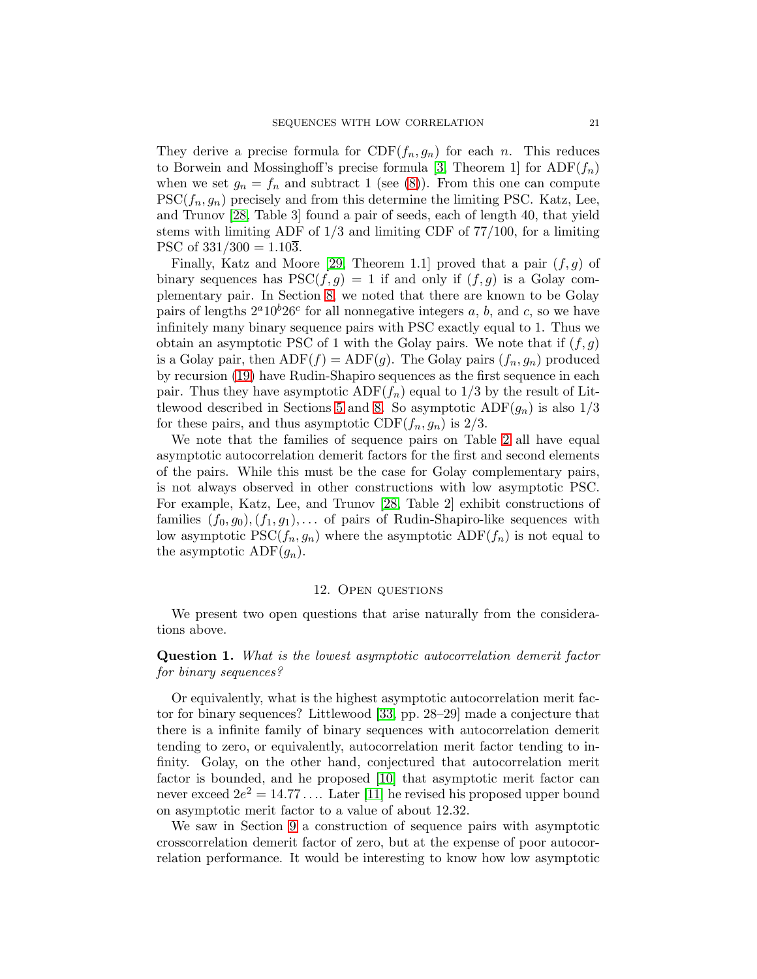They derive a precise formula for  $CDF(f_n, g_n)$  for each n. This reduces to Borwein and Mossinghoff's precise formula [\[3,](#page-21-3) Theorem 1] for  $\text{ADF}(f_n)$ when we set  $g_n = f_n$  and subtract 1 (see [\(8\)](#page-5-0)). From this one can compute  $PSC(f_n, g_n)$  precisely and from this determine the limiting PSC. Katz, Lee, and Trunov [\[28,](#page-22-21) Table 3] found a pair of seeds, each of length 40, that yield stems with limiting ADF of 1/3 and limiting CDF of 77/100, for a limiting PSC of  $331/300 = 1.103$ .

Finally, Katz and Moore [\[29,](#page-23-17) Theorem 1.1] proved that a pair  $(f, g)$  of binary sequences has  $PSC(f, g) = 1$  if and only if  $(f, g)$  is a Golay complementary pair. In Section [8,](#page-15-0) we noted that there are known to be Golay pairs of lengths  $2^a10^b26^c$  for all nonnegative integers a, b, and c, so we have infinitely many binary sequence pairs with PSC exactly equal to 1. Thus we obtain an asymptotic PSC of 1 with the Golay pairs. We note that if  $(f, g)$ is a Golay pair, then  $ADE(f) = ADF(g)$ . The Golay pairs  $(f_n, g_n)$  produced by recursion [\(19\)](#page-15-1) have Rudin-Shapiro sequences as the first sequence in each pair. Thus they have asymptotic  $ADF(f_n)$  equal to  $1/3$  by the result of Lit-tlewood described in Sections [5](#page-7-0) and [8.](#page-15-0) So asymptotic  $\text{ADF}(g_n)$  is also  $1/3$ for these pairs, and thus asymptotic  $CDF(f_n, g_n)$  is  $2/3$ .

We note that the families of sequence pairs on Table [2](#page-18-2) all have equal asymptotic autocorrelation demerit factors for the first and second elements of the pairs. While this must be the case for Golay complementary pairs, is not always observed in other constructions with low asymptotic PSC. For example, Katz, Lee, and Trunov [\[28,](#page-22-21) Table 2] exhibit constructions of families  $(f_0, g_0), (f_1, g_1), \ldots$  of pairs of Rudin-Shapiro-like sequences with low asymptotic  $PSC(f_n, g_n)$  where the asymptotic  $ADF(f_n)$  is not equal to the asymptotic ADF $(g_n)$ .

### 12. Open questions

<span id="page-20-0"></span>We present two open questions that arise naturally from the considerations above.

Question 1. What is the lowest asymptotic autocorrelation demerit factor for binary sequences?

Or equivalently, what is the highest asymptotic autocorrelation merit factor for binary sequences? Littlewood [\[33,](#page-23-3) pp. 28–29] made a conjecture that there is a infinite family of binary sequences with autocorrelation demerit tending to zero, or equivalently, autocorrelation merit factor tending to infinity. Golay, on the other hand, conjectured that autocorrelation merit factor is bounded, and he proposed [\[10\]](#page-22-22) that asymptotic merit factor can never exceed  $2e^2 = 14.77 \ldots$  Later [\[11\]](#page-22-23) he revised his proposed upper bound on asymptotic merit factor to a value of about 12.32.

We saw in Section [9](#page-17-0) a construction of sequence pairs with asymptotic crosscorrelation demerit factor of zero, but at the expense of poor autocorrelation performance. It would be interesting to know how low asymptotic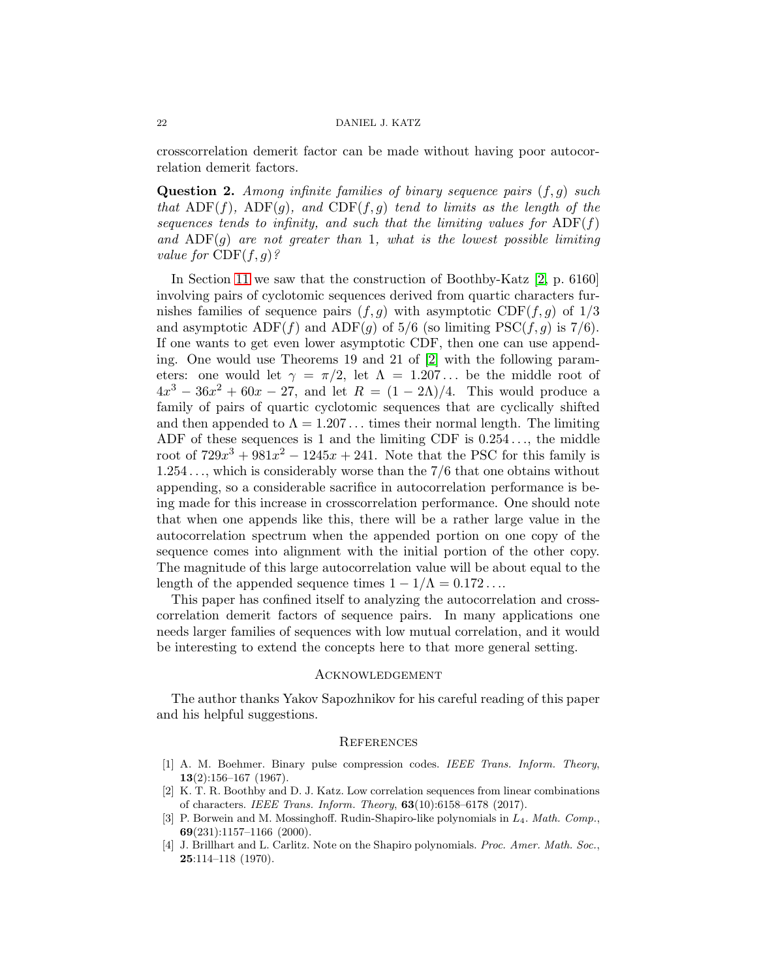crosscorrelation demerit factor can be made without having poor autocorrelation demerit factors.

**Question 2.** Among infinite families of binary sequence pairs  $(f, g)$  such that ADF(f), ADF(q), and CDF(f, q) tend to limits as the length of the sequences tends to infinity, and such that the limiting values for  $\text{ADF}(f)$ and ADF(q) are not greater than 1, what is the lowest possible limiting value for  $CDF(f, g)$ ?

In Section [11](#page-18-0) we saw that the construction of Boothby-Katz [\[2,](#page-21-1) p. 6160] involving pairs of cyclotomic sequences derived from quartic characters furnishes families of sequence pairs  $(f, g)$  with asymptotic CDF $(f, g)$  of  $1/3$ and asymptotic  $\text{ADF}(f)$  and  $\text{ADF}(g)$  of 5/6 (so limiting PSC(f, g) is 7/6). If one wants to get even lower asymptotic CDF, then one can use appending. One would use Theorems 19 and 21 of [\[2\]](#page-21-1) with the following parameters: one would let  $\gamma = \pi/2$ , let  $\Lambda = 1.207...$  be the middle root of  $4x^3 - 36x^2 + 60x - 27$ , and let  $R = (1 - 2\Lambda)/4$ . This would produce a family of pairs of quartic cyclotomic sequences that are cyclically shifted and then appended to  $\Lambda = 1.207...$  times their normal length. The limiting ADF of these sequences is 1 and the limiting CDF is 0.254 . . ., the middle root of  $729x^3 + 981x^2 - 1245x + 241$ . Note that the PSC for this family is 1.254 . . ., which is considerably worse than the 7/6 that one obtains without appending, so a considerable sacrifice in autocorrelation performance is being made for this increase in crosscorrelation performance. One should note that when one appends like this, there will be a rather large value in the autocorrelation spectrum when the appended portion on one copy of the sequence comes into alignment with the initial portion of the other copy. The magnitude of this large autocorrelation value will be about equal to the length of the appended sequence times  $1 - 1/\Lambda = 0.172...$ 

This paper has confined itself to analyzing the autocorrelation and crosscorrelation demerit factors of sequence pairs. In many applications one needs larger families of sequences with low mutual correlation, and it would be interesting to extend the concepts here to that more general setting.

#### Acknowledgement

The author thanks Yakov Sapozhnikov for his careful reading of this paper and his helpful suggestions.

### **REFERENCES**

- <span id="page-21-0"></span>[1] A. M. Boehmer. Binary pulse compression codes. *IEEE Trans. Inform. Theory*, 13(2):156–167 (1967).
- <span id="page-21-1"></span>[2] K. T. R. Boothby and D. J. Katz. Low correlation sequences from linear combinations of characters. *IEEE Trans. Inform. Theory*, 63(10):6158–6178 (2017).
- <span id="page-21-3"></span>[3] P. Borwein and M. Mossinghoff. Rudin-Shapiro-like polynomials in L4. *Math. Comp.*, 69(231):1157–1166 (2000).
- <span id="page-21-2"></span>[4] J. Brillhart and L. Carlitz. Note on the Shapiro polynomials. *Proc. Amer. Math. Soc.*, 25:114–118 (1970).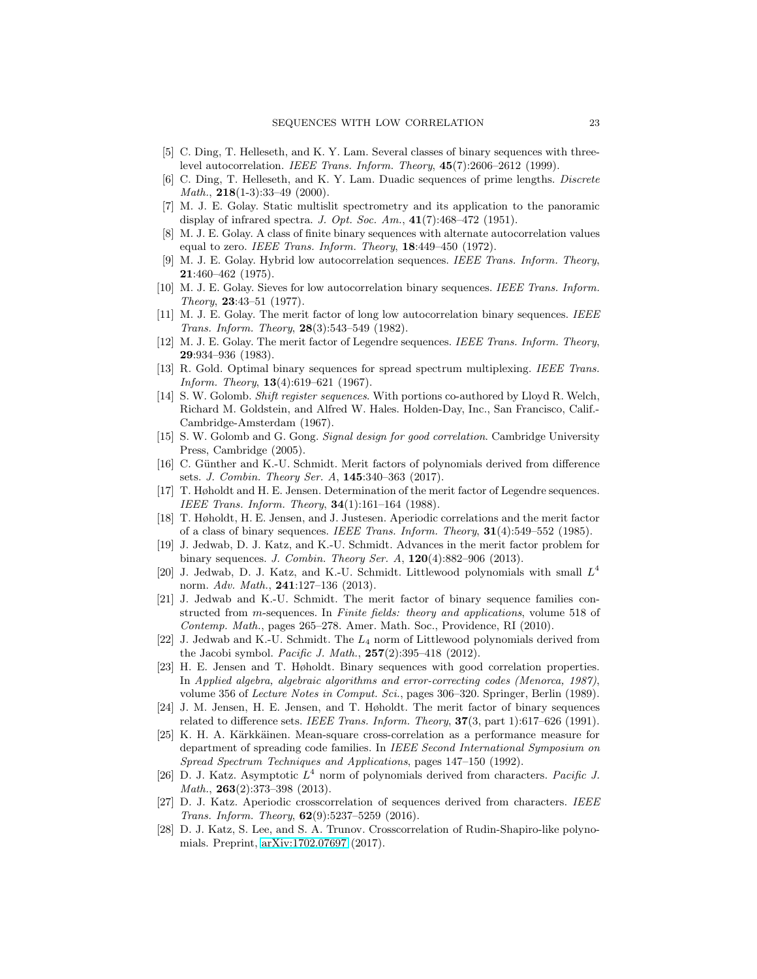- <span id="page-22-15"></span><span id="page-22-14"></span>[5] C. Ding, T. Helleseth, and K. Y. Lam. Several classes of binary sequences with threelevel autocorrelation. *IEEE Trans. Inform. Theory*, 45(7):2606–2612 (1999).
- <span id="page-22-19"></span>[6] C. Ding, T. Helleseth, and K. Y. Lam. Duadic sequences of prime lengths. *Discrete Math.*, **218**(1-3):33-49 (2000).
- <span id="page-22-3"></span>[7] M. J. E. Golay. Static multislit spectrometry and its application to the panoramic display of infrared spectra. *J. Opt. Soc. Am.*, 41(7):468–472 (1951).
- <span id="page-22-4"></span>[8] M. J. E. Golay. A class of finite binary sequences with alternate autocorrelation values equal to zero. *IEEE Trans. Inform. Theory*, 18:449–450 (1972).
- [9] M. J. E. Golay. Hybrid low autocorrelation sequences. *IEEE Trans. Inform. Theory*, 21:460–462 (1975).
- <span id="page-22-22"></span>[10] M. J. E. Golay. Sieves for low autocorrelation binary sequences. *IEEE Trans. Inform. Theory*, 23:43–51 (1977).
- <span id="page-22-23"></span><span id="page-22-16"></span>[11] M. J. E. Golay. The merit factor of long low autocorrelation binary sequences. *IEEE Trans. Inform. Theory*, 28(3):543–549 (1982).
- [12] M. J. E. Golay. The merit factor of Legendre sequences. *IEEE Trans. Inform. Theory*, 29:934–936 (1983).
- <span id="page-22-9"></span>[13] R. Gold. Optimal binary sequences for spread spectrum multiplexing. *IEEE Trans. Inform. Theory*, 13(4):619–621 (1967).
- <span id="page-22-0"></span>[14] S. W. Golomb. *Shift register sequences*. With portions co-authored by Lloyd R. Welch, Richard M. Goldstein, and Alfred W. Hales. Holden-Day, Inc., San Francisco, Calif.- Cambridge-Amsterdam (1967).
- <span id="page-22-1"></span>[15] S. W. Golomb and G. Gong. *Signal design for good correlation*. Cambridge University Press, Cambridge (2005).
- <span id="page-22-12"></span>[16] C. Günther and K.-U. Schmidt. Merit factors of polynomials derived from difference sets. *J. Combin. Theory Ser. A*, 145:340–363 (2017).
- <span id="page-22-6"></span>[17] T. Høholdt and H. E. Jensen. Determination of the merit factor of Legendre sequences. *IEEE Trans. Inform. Theory*, 34(1):161–164 (1988).
- <span id="page-22-20"></span>[18] T. Høholdt, H. E. Jensen, and J. Justesen. Aperiodic correlations and the merit factor of a class of binary sequences. *IEEE Trans. Inform. Theory*, 31(4):549–552 (1985).
- <span id="page-22-11"></span>[19] J. Jedwab, D. J. Katz, and K.-U. Schmidt. Advances in the merit factor problem for binary sequences. *J. Combin. Theory Ser. A*, 120(4):882–906 (2013).
- <span id="page-22-7"></span>[20] J. Jedwab, D. J. Katz, and K.-U. Schmidt. Littlewood polynomials with small  $L^4$ norm. *Adv. Math.*, 241:127–136 (2013).
- <span id="page-22-10"></span>[21] J. Jedwab and K.-U. Schmidt. The merit factor of binary sequence families constructed from m-sequences. In *Finite fields: theory and applications*, volume 518 of *Contemp. Math.*, pages 265–278. Amer. Math. Soc., Providence, RI (2010).
- <span id="page-22-18"></span>[22] J. Jedwab and K.-U. Schmidt. The L<sup>4</sup> norm of Littlewood polynomials derived from the Jacobi symbol. *Pacific J. Math.*, 257(2):395–418 (2012).
- <span id="page-22-8"></span>[23] H. E. Jensen and T. Høholdt. Binary sequences with good correlation properties. In *Applied algebra, algebraic algorithms and error-correcting codes (Menorca, 1987)*, volume 356 of *Lecture Notes in Comput. Sci.*, pages 306–320. Springer, Berlin (1989).
- <span id="page-22-17"></span>[24] J. M. Jensen, H. E. Jensen, and T. Høholdt. The merit factor of binary sequences related to difference sets. *IEEE Trans. Inform. Theory*, 37(3, part 1):617–626 (1991).
- <span id="page-22-2"></span>[25] K. H. A. Kärkkäinen. Mean-square cross-correlation as a performance measure for department of spreading code families. In *IEEE Second International Symposium on Spread Spectrum Techniques and Applications*, pages 147–150 (1992).
- <span id="page-22-13"></span>[26] D. J. Katz. Asymptotic L 4 norm of polynomials derived from characters. *Pacific J. Math.*, 263(2):373–398 (2013).
- <span id="page-22-5"></span>[27] D. J. Katz. Aperiodic crosscorrelation of sequences derived from characters. *IEEE Trans. Inform. Theory*, 62(9):5237–5259 (2016).
- <span id="page-22-21"></span>[28] D. J. Katz, S. Lee, and S. A. Trunov. Crosscorrelation of Rudin-Shapiro-like polynomials. Preprint, [arXiv:1702.07697](http://arxiv.org/abs/1702.07697) (2017).